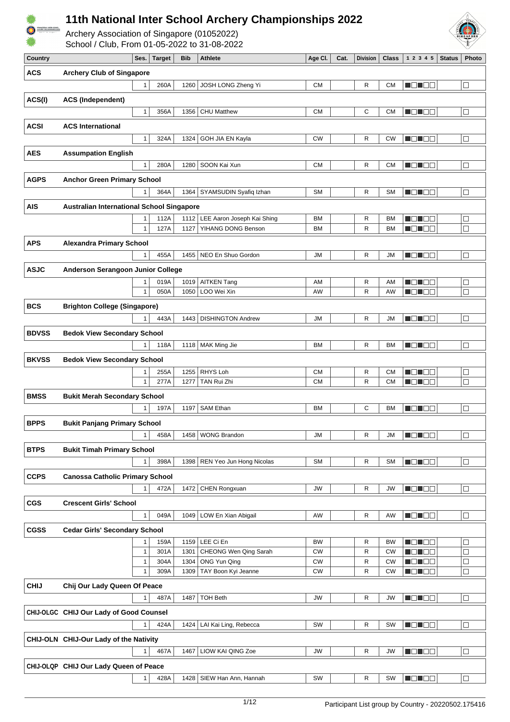



Archery Association of Singapore (01052022)<br>School / Club, From 01-05-2022 to 31-08-2022

| School / Club, From 01-05-2022 to 31-08-2022 |  |  |
|----------------------------------------------|--|--|

| Country      |                                                  | Ses.              | Target       | Bib          | <b>Athlete</b>             | Age Cl.                | Cat. | <b>Division</b> | Class                  | 1 2 3 4 5         | <b>Status</b> | <b>Photo</b> |
|--------------|--------------------------------------------------|-------------------|--------------|--------------|----------------------------|------------------------|------|-----------------|------------------------|-------------------|---------------|--------------|
| <b>ACS</b>   | <b>Archery Club of Singapore</b>                 |                   |              |              |                            |                        |      |                 |                        |                   |               |              |
|              |                                                  | $\mathbf{1}$      | 260A         | 1260         | JOSH LONG Zheng Yi         | <b>CM</b>              |      | R               | <b>CM</b>              | NON OB            |               | □            |
|              |                                                  |                   |              |              |                            |                        |      |                 |                        |                   |               |              |
| ACS(I)       | <b>ACS (Independent)</b>                         |                   |              |              |                            |                        |      |                 |                        |                   |               |              |
|              |                                                  | $\mathbf{1}$      | 356A         | 1356         | <b>CHU Matthew</b>         | <b>CM</b>              |      | C               | <b>CM</b>              | N ON DE           |               | $\Box$       |
| <b>ACSI</b>  |                                                  |                   |              |              |                            |                        |      |                 |                        |                   |               |              |
|              | <b>ACS International</b>                         |                   |              |              |                            |                        |      |                 |                        |                   |               |              |
|              |                                                  | 1                 | 324A         | 1324         | GOH JIA EN Kayla           | CW                     |      | R               | <b>CW</b>              | <u> de le</u> e   |               | □            |
| <b>AES</b>   | <b>Assumpation English</b>                       |                   |              |              |                            |                        |      |                 |                        |                   |               |              |
|              |                                                  | $\mathbf{1}$      | 280A         | 1280         | SOON Kai Xun               | <b>CM</b>              |      | R               | <b>CM</b>              | N DIN OB          |               | $\Box$       |
|              |                                                  |                   |              |              |                            |                        |      |                 |                        |                   |               |              |
| <b>AGPS</b>  | <b>Anchor Green Primary School</b>               |                   |              |              |                            |                        |      |                 |                        |                   |               |              |
|              |                                                  | 1                 | 364A         | 1364         | SYAMSUDIN Syafiq Izhan     | <b>SM</b>              |      | R               | <b>SM</b>              | MONDER            |               | $\Box$       |
| <b>AIS</b>   | <b>Australian International School Singapore</b> |                   |              |              |                            |                        |      |                 |                        |                   |               |              |
|              |                                                  | 1                 | 112A         | 1112         | LEE Aaron Joseph Kai Shing | BM                     |      | R               | <b>BM</b>              | N ON OB           |               | $\Box$       |
|              |                                                  | $\mathbf{1}$      | 127A         | 1127         | YIHANG DONG Benson         | <b>BM</b>              |      | R               | <b>BM</b>              | N EN EE           |               | $\Box$       |
|              |                                                  |                   |              |              |                            |                        |      |                 |                        |                   |               |              |
| <b>APS</b>   | <b>Alexandra Primary School</b>                  |                   |              |              |                            |                        |      |                 |                        |                   |               |              |
|              |                                                  | 1                 | 455A         | 1455         | NEO En Shuo Gordon         | ЛU                     |      | R               | ЛU                     | MEN BE            |               | $\Box$       |
| <b>ASJC</b>  | Anderson Serangoon Junior College                |                   |              |              |                            |                        |      |                 |                        |                   |               |              |
|              |                                                  | 1                 | 019A         | 1019         | <b>AITKEN Tang</b>         | AM                     |      | R               | AM                     | N DI DE           |               | $\Box$       |
|              |                                                  | $\mathbf{1}$      | 050A         | 1050         | LOO Wei Xin                | AW                     |      | R               | AW                     | N ON DE           |               | $\Box$       |
| <b>BCS</b>   |                                                  |                   |              |              |                            |                        |      |                 |                        |                   |               |              |
|              | <b>Brighton College (Singapore)</b>              |                   |              |              |                            |                        |      |                 |                        |                   |               |              |
|              |                                                  | 1                 | 443A         | 1443         | <b>DISHINGTON Andrew</b>   | JM                     |      | R               | ЛU                     | N E N E E         |               | □            |
| <b>BDVSS</b> | <b>Bedok View Secondary School</b>               |                   |              |              |                            |                        |      |                 |                        |                   |               |              |
|              |                                                  | 1                 | 118A         | 1118         | MAK Ming Jie               | <b>BM</b>              |      | R               | <b>BM</b>              | <b>REDEE</b>      |               | □            |
| <b>BKVSS</b> | <b>Bedok View Secondary School</b>               |                   |              |              |                            |                        |      |                 |                        |                   |               |              |
|              |                                                  |                   |              |              |                            |                        |      |                 |                        |                   |               |              |
|              |                                                  | 1<br>$\mathbf{1}$ | 255A<br>277A | 1255<br>1277 | RHYS Loh<br>TAN Rui Zhi    | <b>CM</b><br><b>CM</b> |      | R<br>R          | <b>CM</b><br><b>CM</b> | MEN EN<br>MO NO W |               | ⊔            |
|              |                                                  |                   |              |              |                            |                        |      |                 |                        |                   |               | $\Box$       |
| <b>BMSS</b>  | <b>Bukit Merah Secondary School</b>              |                   |              |              |                            |                        |      |                 |                        |                   |               |              |
|              |                                                  | 1                 | 197A         | 1197         | <b>SAM Ethan</b>           | <b>BM</b>              |      | C               | <b>BM</b>              | MONDER            |               | $\Box$       |
| <b>BPPS</b>  | <b>Bukit Panjang Primary School</b>              |                   |              |              |                            |                        |      |                 |                        |                   |               |              |
|              |                                                  | 1                 | 458A         | 1458         | <b>WONG Brandon</b>        | JM                     |      | R               | JM                     | MO TEL            |               | $\Box$       |
|              |                                                  |                   |              |              |                            |                        |      |                 |                        |                   |               |              |
| <b>BTPS</b>  | <b>Bukit Timah Primary School</b>                |                   |              |              |                            |                        |      |                 |                        |                   |               |              |
|              |                                                  | 1                 | 398A         | 1398         | REN Yeo Jun Hong Nicolas   | SM                     |      | R               | <b>SM</b>              | MA NA TITO        |               | □            |
| <b>CCPS</b>  | <b>Canossa Catholic Primary School</b>           |                   |              |              |                            |                        |      |                 |                        |                   |               |              |
|              |                                                  | 1                 | 472A         | 1472         | CHEN Rongxuan              | JW                     |      | R               | JW                     | NO NOO            |               | $\Box$       |
|              |                                                  |                   |              |              |                            |                        |      |                 |                        |                   |               |              |
| <b>CGS</b>   | <b>Crescent Girls' School</b>                    |                   |              |              |                            |                        |      |                 |                        |                   |               |              |
|              |                                                  | $\mathbf{1}$      | 049A         |              | 1049   LOW En Xian Abigail | AW                     |      | R               | AW                     | MONDE,            |               | $\Box$       |
| <b>CGSS</b>  | <b>Cedar Girls' Secondary School</b>             |                   |              |              |                            |                        |      |                 |                        |                   |               |              |
|              |                                                  | 1                 | 159A         | 1159         | LEE Ci En                  | <b>BW</b>              |      | R               | <b>BW</b>              | MON 80            |               | □            |
|              |                                                  | $\mathbf{1}$      | 301A         | 1301         | CHEONG Wen Qing Sarah      | <b>CW</b>              |      | R               | <b>CW</b>              | UO TOO            |               | $\Box$       |
|              |                                                  | $\mathbf{1}$      | 304A         | 1304         | ONG Yun Qing               | CW                     |      | R               | СW                     | d di se           |               | $\sqcup$     |
|              |                                                  | 1                 | 309A         | 1309         | TAY Boon Kyi Jeanne        | CW                     |      | R               | CW                     | NO NO D           |               | $\Box$       |
| <b>CHIJ</b>  | Chij Our Lady Queen Of Peace                     |                   |              |              |                            |                        |      |                 |                        |                   |               |              |
|              |                                                  | 1                 |              |              | <b>TOH Beth</b>            |                        |      |                 |                        | <b>HOLLOD</b>     |               |              |
|              |                                                  |                   | 487A         | 1487         |                            | JW                     |      | R               | JW                     |                   |               | $\Box$       |
|              | CHIJ-OLGC CHIJ Our Lady of Good Counsel          |                   |              |              |                            |                        |      |                 |                        |                   |               |              |
|              |                                                  | 1                 | 424A         | 1424         | LAI Kai Ling, Rebecca      | SW                     |      | R               | SW                     | <b>HOMOO</b>      |               | $\Box$       |
|              | CHIJ-OLN CHIJ-Our Lady of the Nativity           |                   |              |              |                            |                        |      |                 |                        |                   |               |              |
|              |                                                  | 1                 | 467A         | 1467         | LIOW KAI QING Zoe          | JW                     |      | R               | <b>JW</b>              | <b>RELEE</b>      |               | □            |
|              |                                                  |                   |              |              |                            |                        |      |                 |                        |                   |               |              |
|              | CHIJ-OLQP CHIJ Our Lady Queen of Peace           |                   |              |              |                            |                        |      |                 |                        |                   |               |              |
|              |                                                  | 1                 | 428A         | 1428         | SIEW Han Ann, Hannah       | SW                     |      | R               | <b>SW</b>              | <b>NONDO</b>      |               | $\Box$       |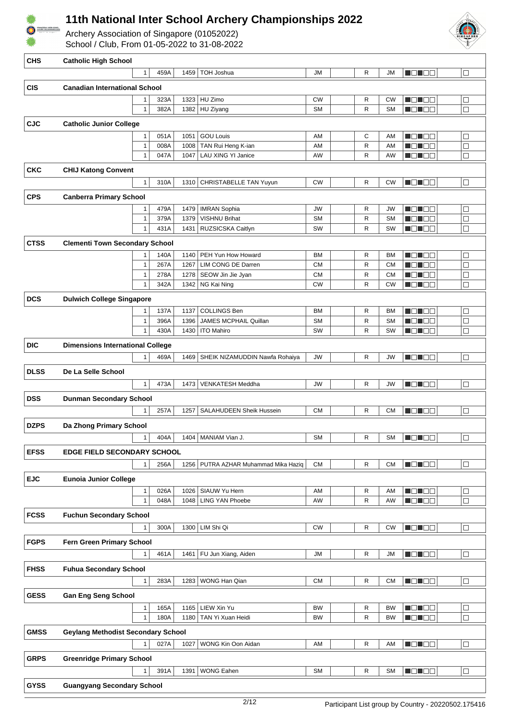

Archery Association of Singapore (01052022)





| <b>CHS</b>  | <b>Catholic High School</b>               |                              |              |              |                                             |                        |        |                        |                    |                  |
|-------------|-------------------------------------------|------------------------------|--------------|--------------|---------------------------------------------|------------------------|--------|------------------------|--------------------|------------------|
|             |                                           | $\mathbf{1}$                 | 459A         | 1459         | TOH Joshua                                  | JM                     | R      | JM                     | MON E E            | $\Box$           |
| <b>CIS</b>  | <b>Canadian International School</b>      |                              |              |              |                                             |                        |        |                        |                    |                  |
|             |                                           | 1                            | 323A         | 1323         | HU Zimo                                     | <b>CW</b>              | R      | <b>CW</b>              | MO HOO             | $\Box$           |
|             |                                           | $\mathbf{1}$                 | 382A         |              | 1382 HU Ziyang                              | <b>SM</b>              | R      | <b>SM</b>              | N DI DE            | $\Box$           |
| <b>CJC</b>  | <b>Catholic Junior College</b>            |                              |              |              |                                             |                        |        |                        |                    |                  |
|             |                                           | 1                            | 051A         | 1051         | <b>GOU Louis</b>                            | AM                     | C      | AM                     | M O H O W          | $\Box$           |
|             |                                           | $\mathbf{1}$<br>$\mathbf{1}$ | 008A<br>047A | 1008<br>1047 | TAN Rui Heng K-ian<br>LAU XING YI Janice    | AM<br>AW               | R<br>R | AM<br>AW               | MO U O U<br>MB 188 | $\Box$<br>$\Box$ |
|             |                                           |                              |              |              |                                             |                        |        |                        |                    |                  |
| <b>CKC</b>  | <b>CHIJ Katong Convent</b>                |                              |              |              |                                             |                        |        |                        |                    |                  |
|             |                                           | 1                            | 310A         |              | 1310   CHRISTABELLE TAN Yuyun               | <b>CW</b>              | R      | <b>CW</b>              | MONDE              | $\Box$           |
| <b>CPS</b>  | <b>Canberra Primary School</b>            |                              |              |              |                                             |                        |        |                        |                    |                  |
|             |                                           | 1<br>$\mathbf{1}$            | 479A<br>379A | 1479<br>1379 | <b>IMRAN Sophia</b><br><b>VISHNU Brihat</b> | <b>JW</b><br><b>SM</b> | R<br>R | <b>JW</b><br><b>SM</b> | HE HEE<br>N ON DE  | $\Box$<br>$\Box$ |
|             |                                           | $\mathbf{1}$                 | 431A         | 1431         | RUZSICSKA Caitlyn                           | SW                     | R      | SW                     | M O U O U          | $\Box$           |
| <b>CTSS</b> | <b>Clementi Town Secondary School</b>     |                              |              |              |                                             |                        |        |                        |                    |                  |
|             |                                           | 1                            | 140A         | 1140         | PEH Yun How Howard                          | <b>BM</b>              | R      | <b>BM</b>              | U QI BE            | $\Box$           |
|             |                                           | 1                            | 267A         | 1267         | LIM CONG DE Darren                          | <b>CM</b>              | R      | <b>CM</b>              | MEN BE             | $\Box$           |
|             |                                           | 1                            | 278A         | 1278         | SEOW Jin Jie Jyan                           | <b>CM</b>              | R      | <b>CM</b>              | $\Box\Box$<br>HU I | $\Box$           |
|             |                                           | 1                            | 342A         | 1342         | NG Kai Ning                                 | <b>CW</b>              | R      | <b>CW</b>              | 80 E E             | $\Box$           |
| <b>DCS</b>  | <b>Dulwich College Singapore</b>          |                              |              |              |                                             |                        |        |                        |                    |                  |
|             |                                           | 1<br>$\mathbf{1}$            | 137A         | 1137<br>1396 | <b>COLLINGS Ben</b>                         | <b>BM</b><br><b>SM</b> | R<br>R | <b>BM</b><br><b>SM</b> | n din Ele          | $\Box$           |
|             |                                           | 1                            | 396A<br>430A | 1430         | JAMES MCPHAIL Quillan<br><b>ITO Mahiro</b>  | SW                     | R      | SW                     | $\Box$<br>MO NO W  | $\Box$<br>$\Box$ |
| <b>DIC</b>  | <b>Dimensions International College</b>   |                              |              |              |                                             |                        |        |                        |                    |                  |
|             |                                           | 1                            | 469A         |              | 1469   SHEIK NIZAMUDDIN Nawfa Rohaiya       | JW                     | R      | <b>JW</b>              | MON OO             | $\Box$           |
| <b>DLSS</b> |                                           |                              |              |              |                                             |                        |        |                        |                    |                  |
|             | De La Selle School                        | $\mathbf{1}$                 | 473A         | 1473         | VENKATESH Meddha                            | JW                     | R      | <b>JW</b>              | NON EE             | $\Box$           |
|             |                                           |                              |              |              |                                             |                        |        |                        |                    |                  |
| <b>DSS</b>  | <b>Dunman Secondary School</b>            |                              |              |              |                                             |                        |        |                        |                    |                  |
|             |                                           | 1                            | 257A         | 1257         | SALAHUDEEN Sheik Hussein                    | <b>CM</b>              | R      | <b>CM</b>              | MON BE             | $\Box$           |
| <b>DZPS</b> | Da Zhong Primary School                   |                              |              |              |                                             |                        |        |                        |                    |                  |
|             |                                           | 1                            |              |              | 404A   1404   MANIAM Vian J.                | ${\sf SM}$             | R      | SM                     | <b>NONDO</b>       | $\Box$           |
| <b>EFSS</b> | <b>EDGE FIELD SECONDARY SCHOOL</b>        |                              |              |              |                                             |                        |        |                        |                    |                  |
|             |                                           | 1                            | 256A         | 1256         | PUTRA AZHAR Muhammad Mika Haziq             | <b>CM</b>              | R      | <b>CM</b>              | MON DE             | □                |
| <b>EJC</b>  | <b>Eunoia Junior College</b>              |                              |              |              |                                             |                        |        |                        |                    |                  |
|             |                                           | $\mathbf{1}$                 | 026A         | 1026         | SIAUW Yu Hern                               | AM                     | R      | AM                     | MONDE              | $\Box$           |
|             |                                           | $\mathbf{1}$                 | 048A         | 1048         | <b>LING YAN Phoebe</b>                      | AW                     | R      | AW                     | MO NOG             | $\Box$           |
| <b>FCSS</b> | <b>Fuchun Secondary School</b>            |                              |              |              |                                             |                        |        |                        |                    |                  |
|             |                                           | $\mathbf{1}$                 | 300A         |              | 1300 LIM Shi Qi                             | <b>CW</b>              | R      | <b>CW</b>              | MONDER             | $\Box$           |
| <b>FGPS</b> | Fern Green Primary School                 |                              |              |              |                                             |                        |        |                        |                    |                  |
|             |                                           | 1                            | 461A         | 1461         | FU Jun Xiang, Aiden                         | ЛU                     | R      | ЛU                     | MONDE,             | $\Box$           |
| <b>FHSS</b> | <b>Fuhua Secondary School</b>             |                              |              |              |                                             |                        |        |                        |                    |                  |
|             |                                           | $\mathbf{1}$                 | 283A         | 1283         | WONG Han Qian                               | <b>CM</b>              | R      | <b>CM</b>              | MON DO             | $\Box$           |
| <b>GESS</b> | <b>Gan Eng Seng School</b>                |                              |              |              |                                             |                        |        |                        |                    |                  |
|             |                                           | $\mathbf{1}$                 | 165A         | 1165         | LIEW Xin Yu                                 | BW                     | R      | <b>BW</b>              | N ON OO            | $\Box$           |
|             |                                           | $\mathbf{1}$                 | 180A         | 1180         | TAN Yi Xuan Heidi                           | BW                     | R      | <b>BW</b>              | M O N O M          | $\Box$           |
| <b>GMSS</b> | <b>Geylang Methodist Secondary School</b> |                              |              |              |                                             |                        |        |                        |                    |                  |
|             |                                           | $\mathbf{1}$                 | 027A         | 1027         | WONG Kin Oon Aidan                          | AM                     | R      | AM                     | MON BE             | $\Box$           |
| <b>GRPS</b> | <b>Greenridge Primary School</b>          |                              |              |              |                                             |                        |        |                        |                    |                  |
|             |                                           | 1                            | 391A         | 1391         | <b>WONG Eahen</b>                           | <b>SM</b>              | R      | <b>SM</b>              | MO HOO             | □                |
| <b>GYSS</b> | <b>Guangyang Secondary School</b>         |                              |              |              |                                             |                        |        |                        |                    |                  |
|             |                                           |                              |              |              |                                             |                        |        |                        |                    |                  |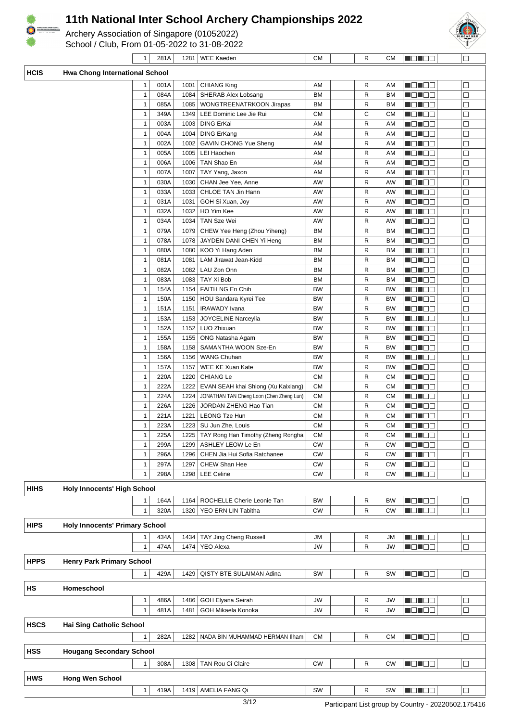

Archery Association of Singapore (01052022) School / Club, From 01-05-2022 to 31-08-2022



 $\Box$ 

**Bonoo** 

1 | 281A | 1281 | WEE Kaeden | CM | | R | CM

|  | Kaede<br>$-$ |
|--|--------------|
|  |              |
|  |              |

| <b>HCIS</b> | Hwa Chong International School        |                              |              |              |                                          |                        |        |                        |                    |             |
|-------------|---------------------------------------|------------------------------|--------------|--------------|------------------------------------------|------------------------|--------|------------------------|--------------------|-------------|
|             |                                       | 1                            | 001A         | 1001         | <b>CHIANG King</b>                       | AM                     | R      | AM                     | NOTEE              | □           |
|             |                                       | $\mathbf{1}$                 | 084A         | 1084         | SHERAB Alex Lobsang                      | BM                     | R      | BM                     | N EN E E           | Е           |
|             |                                       | $\mathbf{1}$                 | 085A         | 1085         | WONGTREENATRKOON Jirapas                 | BM                     | R      | BM                     | N DI BO            | □           |
|             |                                       | $\mathbf{1}$                 | 349A         |              | 1349   LEE Dominic Lee Jie Rui           | CМ                     | С      | СМ                     | MOL DE             | ⊏           |
|             |                                       | $\mathbf{1}$                 | 003A         | 1003         | <b>DING ErKai</b>                        | AM                     | R      | AM                     | Maria 1919         | □           |
|             |                                       | $\mathbf{1}$                 | 004A         |              | 1004   DING ErKang                       | AM                     | R      | AM                     | N DI BE            | $\Box$      |
|             |                                       | $\mathbf{1}$                 | 002A         |              | 1002   GAVIN CHONG Yue Sheng             | AM                     | R      | AM                     |                    | □           |
|             |                                       | $\mathbf{1}$                 | 005A         |              | 1005   LEI Haochen                       | AM                     | R      | AM                     | M O N O W          | □           |
|             |                                       | $\mathbf{1}$                 | 006A         | 1006         | TAN Shao En                              | AM                     | R      | AM                     | MON O O            | □           |
|             |                                       | $\mathbf{1}$<br>$\mathbf{1}$ | 007A<br>030A | 1007         | TAY Yang, Jaxon<br>CHAN Jee Yee, Anne    | AM<br>AW               | R<br>R | AM                     | N DI BE            | $\Box$<br>Е |
|             |                                       | $\mathbf{1}$                 | 033A         | 1030<br>1033 | CHLOE TAN Jin Hann                       | AW                     | R      | AW<br>AW               | N DI DE<br>MOL DE  | ⊏           |
|             |                                       | $\mathbf{1}$                 | 031A         | 1031         | GOH Si Xuan, Joy                         | AW                     | R      | AW                     | MON OO             | □           |
|             |                                       | $\mathbf{1}$                 | 032A         | 1032         | HO Yim Kee                               | AW                     | R      | AW                     | <u> Die Bi</u>     | □           |
|             |                                       | $\mathbf{1}$                 | 034A         | 1034         | TAN Sze Wei                              | AW                     | R      | AW                     | MON 80             | Е           |
|             |                                       | $\mathbf{1}$                 | 079A         |              | 1079 CHEW Yee Heng (Zhou Yiheng)         | ВM                     | R      | BM                     | MOMOO              | Е           |
|             |                                       | $\mathbf{1}$                 | 078A         | 1078         | JAYDEN DANI CHEN Yi Heng                 | BM                     | R      | ВM                     | N ON OO            | □           |
|             |                                       | $\mathbf{1}$                 | 080A         | 1080         | KOO Yi Hang Aden                         | BM                     | R      | ВM                     | N DI BE            | $\Box$      |
|             |                                       | $\mathbf{1}$                 | 081A         | 1081         | LAM Jirawat Jean-Kidd                    | BM                     | R      | ВM                     | M D H B B          | c           |
|             |                                       | $\mathbf{1}$                 | 082A         | 1082         | LAU Zon Onn                              | ВM                     | R      | BM                     | MONDE              | Е           |
|             |                                       | $\mathbf{1}$                 | 083A         | 1083         | TAY Xi Bob                               | ВM                     | R      | <b>BM</b>              | MON 80             | □           |
|             |                                       | $\mathbf{1}$                 | 154A         | 1154         | FAITH NG En Chih                         | <b>BW</b>              | R      | <b>BW</b>              | N ON OO            | □           |
|             |                                       | $\mathbf{1}$                 | 150A         |              | 1150   HOU Sandara Kyrei Tee             | <b>BW</b>              | R      | BW                     | <u>i di Ba</u>     | ⊏           |
|             |                                       | $\mathbf{1}$                 | 151A         | 1151         | <b>IRAWADY</b> Ivana                     | <b>BW</b>              | R      | <b>BW</b>              | N ON OO            | Е           |
|             |                                       | $\mathbf{1}$                 | 153A         | 1153         | JOYCELINE Narceylia                      | <b>BW</b>              | R      | ВW                     | N ON OC            | $\Box$      |
|             |                                       | $\mathbf{1}$                 | 152A         |              | 1152 LUO Zhixuan                         | <b>BW</b>              | R      | <b>BW</b>              | N O N O O          | $\Box$      |
|             |                                       | $\mathbf{1}$<br>$\mathbf{1}$ | 155A<br>158A | 1155<br>1158 | ONG Natasha Agam<br>SAMANTHA WOON Sze-En | <b>BW</b><br><b>BW</b> | R<br>R | <b>BW</b><br><b>BW</b> | ME HEL<br>MO MO W  | ⊏<br>□      |
|             |                                       | $\mathbf{1}$                 | 156A         |              | 1156   WANG Chuhan                       | <b>BW</b>              | R      | <b>BW</b>              | MON OO             | ⊏           |
|             |                                       | $\mathbf{1}$                 | 157A         | 1157         | WEE KE Xuan Kate                         | <b>BW</b>              | R      | <b>BW</b>              | <u> Die Bi</u>     | □           |
|             |                                       | $\mathbf{1}$                 | 220A         | 1220         | <b>CHIANG Le</b>                         | <b>CM</b>              | R      | СМ                     | MEN EE             | ⊏           |
|             |                                       | $\mathbf{1}$                 | 222A         | 1222         | EVAN SEAH khai Shiong (Xu Kaixiang)      | <b>CM</b>              | R      | CМ                     | <u> Liberal Bi</u> | □           |
|             |                                       | $\mathbf{1}$                 | 224A         | 1224         | JONATHAN TAN Cheng Loon (Chen Zheng Lun) | <b>CM</b>              | R      | CМ                     | NO NOT             | ⊏           |
|             |                                       | $\mathbf{1}$                 | 226A         | 1226         | JORDAN ZHENG Hao Tian                    | <b>CM</b>              | R      | CМ                     | MEN EE             | Е           |
|             |                                       | $\mathbf{1}$                 | 221A         | 1221         | <b>LEONG Tze Hun</b>                     | <b>CM</b>              | R      | СМ                     | N DI DE            | □           |
|             |                                       | $\mathbf{1}$                 | 223A         | 1223         | SU Jun Zhe, Louis                        | <b>CM</b>              | R      | <b>CM</b>              | MEN DE             | ⊏           |
|             |                                       | 1                            | 225A         | 1225         | TAY Rong Han Timothy (Zheng Rongha       | <b>CM</b>              | R      | <b>CM</b>              | M O U O U          | □           |
|             |                                       | $\mathbf{1}$                 | 299A         | 1299         | ASHLEY LEOW Le En                        | <b>CW</b>              | R      | <b>CW</b>              | N DI BE            | $\Box$      |
|             |                                       | 1                            | 296A         |              | 1296   CHEN Jia Hui Sofia Ratchanee      | СW                     | R      | СW                     | U O U O O          | $\Box$      |
|             |                                       | $\mathbf{1}$                 | 297A         | 1297         | CHEW Shan Hee                            | <b>CW</b>              | R      | <b>CW</b>              | MON 80             | $\Box$      |
|             |                                       | $\mathbf{1}$                 | 298A         |              | 1298   LEE Celine                        | <b>CW</b>              | R      | <b>CW</b>              | N O N O O          | $\Box$      |
| <b>HIHS</b> | <b>Holy Innocents' High School</b>    |                              |              |              |                                          |                        |        |                        |                    |             |
|             |                                       | 1                            | 164A         | 1164         | ROCHELLE Cherie Leonie Tan               | BW                     | R      | <b>BW</b>              | N EN EE            | $\Box$      |
|             |                                       | $\mathbf{1}$                 | 320A         |              | 1320   YEO ERN LIN Tabitha               | <b>CW</b>              | R      | <b>CW</b>              | <b>H</b> OHOO      | $\Box$      |
| <b>HIPS</b> | <b>Holy Innocents' Primary School</b> |                              |              |              |                                          |                        |        |                        |                    |             |
|             |                                       | 1                            | 434A         | 1434         | TAY Jing Cheng Russell                   | JM                     | R      | JM                     | <b>MONDO</b>       | $\Box$      |
|             |                                       | $\mathbf{1}$                 | 474A         | 1474         | <b>YEO Alexa</b>                         | JW                     | R      | JW                     | MONDO              | $\Box$      |
|             |                                       |                              |              |              |                                          |                        |        |                        |                    |             |
| <b>HPPS</b> | <b>Henry Park Primary School</b>      |                              |              |              |                                          |                        |        |                        |                    |             |
|             |                                       | $\mathbf{1}$                 | 429A         | 1429         | QISTY BTE SULAIMAN Adina                 | SW                     | R      | SW                     | N DHEE             | $\Box$      |
| НS          | Homeschool                            |                              |              |              |                                          |                        |        |                        |                    |             |
|             |                                       | $\mathbf{1}$                 | 486A         | 1486         | GOH Elyana Seirah                        | JW                     | R      | JW                     | n din cin          | $\Box$      |
|             |                                       | $\mathbf{1}$                 | 481A         | 1481         | GOH Mikaela Konoka                       | JW                     | R      | JW                     | <u>lie is e</u>    | $\Box$      |
| <b>HSCS</b> | <b>Hai Sing Catholic School</b>       |                              |              |              |                                          |                        |        |                        |                    |             |
|             |                                       | 1                            | 282A         | 1282         | NADA BIN MUHAMMAD HERMAN IIham           | CМ                     | R      | СМ                     | <b>MONDO</b>       | $\Box$      |
|             |                                       |                              |              |              |                                          |                        |        |                        |                    |             |
| <b>HSS</b>  | <b>Hougang Secondary School</b>       |                              |              |              |                                          |                        |        |                        |                    |             |
|             |                                       | 1                            | 308A         | 1308         | TAN Rou Ci Claire                        | <b>CW</b>              | R      | CW                     | MONDO              | $\Box$      |
| <b>HWS</b>  | <b>Hong Wen School</b>                |                              |              |              |                                          |                        |        |                        |                    |             |
|             |                                       | $\mathbf{1}$                 | 419A         |              | 1419   AMELIA FANG Qi                    | SW                     | R      | SW                     | <b>NOTO</b>        | $\Box$      |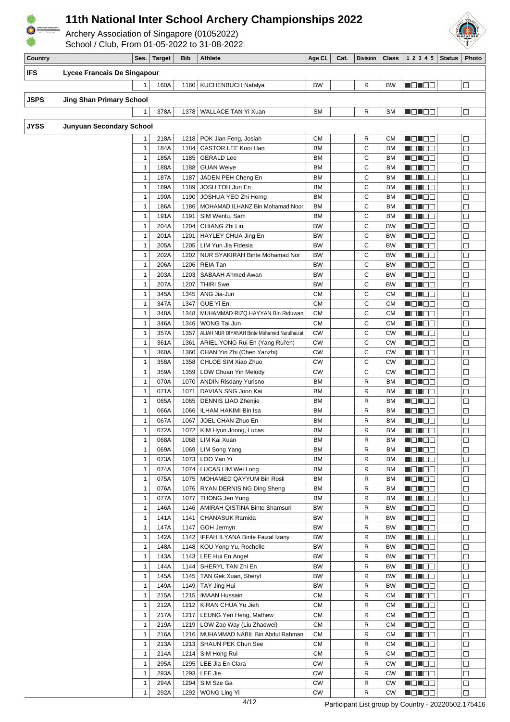

Archery Association of Singapore (01052022)





| Country    |                                 |                              | Ses. Target  | <b>Bib</b>   | <b>Athlete</b>                                       | Age Cl.         | Cat. | <b>Division</b> | <b>Class</b>           | 1 2 3 4 5             | <b>Status</b> | Photo             |
|------------|---------------------------------|------------------------------|--------------|--------------|------------------------------------------------------|-----------------|------|-----------------|------------------------|-----------------------|---------------|-------------------|
| <b>IFS</b> | Lycee Francais De Singapour     |                              |              |              |                                                      |                 |      |                 |                        |                       |               |                   |
|            |                                 | 1                            | 160A         |              | 1160   KUCHENBUCH Natalya                            | BW              |      | R               | <b>BW</b>              | NOTOS.                |               | $\Box$            |
|            |                                 |                              |              |              |                                                      |                 |      |                 |                        |                       |               |                   |
| JSPS       | <b>Jing Shan Primary School</b> |                              |              |              |                                                      |                 |      |                 |                        |                       |               |                   |
|            |                                 | 1                            | 378A         |              | 1378   WALLACE TAN Yi Xuan                           | <b>SM</b>       |      | R               | <b>SM</b>              | MONDER                |               | $\Box$            |
|            |                                 |                              |              |              |                                                      |                 |      |                 |                        |                       |               |                   |
| JYSS       | <b>Junyuan Secondary School</b> |                              |              |              |                                                      |                 |      |                 |                        |                       |               |                   |
|            |                                 | 1                            | 218A         |              | 1218   POK Jian Feng, Josiah                         | CМ              |      | R               | СM                     | NG NGC                |               | □                 |
|            |                                 | $\mathbf{1}$                 | 184A         | 1184         | CASTOR LEE Kooi Han                                  | BM              |      | C               | <b>BM</b>              | a da be               |               | $\Box$            |
|            |                                 | $\mathbf{1}$                 | 185A         |              | 1185   GERALD Lee                                    | ΒM              |      | C               | <b>BM</b>              | N DIN BEL             |               | □                 |
|            |                                 | 1                            | 188A         | 1188         | GUAN Weiye                                           | ΒM              |      | C               | <b>BM</b>              | an di Ba              |               | $\Box$            |
|            |                                 | 1                            | 187A         | 1187         | JADEN PEH Cheng En                                   | ΒM              |      | C               | <b>BM</b>              | <u> Heleta </u>       |               | $\Box$            |
|            |                                 | $\mathbf{1}$                 | 189A         | 1189         | JOSH TOH Jun En                                      | ΒM              |      | С               | <b>BM</b>              | MEN DE                |               | $\Box$            |
|            |                                 | 1                            | 190A         | 1190         | JOSHUA YEO Zhi Herng                                 | BM              |      | C               | <b>BM</b>              | N O N O O             |               | $\Box$            |
|            |                                 | $\mathbf{1}$                 | 186A         | 1186         | MOHAMAD ILHANZ Bin Mohamad Noor                      | BM              |      | С               | <b>BM</b>              | MEN DE                |               | $\Box$            |
|            |                                 | $\mathbf{1}$<br>$\mathbf{1}$ | 191A<br>204A | 1191<br>1204 | SIM Wenfu, Sam<br>CHIANG Zhi Lin                     | BM<br><b>BW</b> |      | C<br>С          | <b>BM</b><br><b>BW</b> | N DI BE               |               | $\Box$<br>$\Box$  |
|            |                                 | $\mathbf{1}$                 | 201A         | 1201         | HAYLEY CHUA Jing En                                  | BW              |      | С               | <b>BW</b>              | MEN EE<br>11 8 E 8    |               | □                 |
|            |                                 | $\mathbf{1}$                 | 205A         | 1205         | LIM Yun Jia Fidesia                                  | BW              |      | C               | <b>BW</b>              | an di Ba              |               | $\Box$            |
|            |                                 | 1                            | 202A         | 1202         | NUR SYAKIRAH Binte Mohamad Nor                       | BW              |      | С               | BW                     | ME E E E              |               | $\Box$            |
|            |                                 | $\mathbf{1}$                 | 206A         |              | 1206   REIA Tan                                      | BW              |      | C               | <b>BW</b>              | <u> Helia e e</u>     |               | $\Box$            |
|            |                                 | $\mathbf{1}$                 | 203A         | 1203         | SABAAH Ahmed Awan                                    | BW              |      | С               | BW                     | H 81 82               |               | □                 |
|            |                                 | $\mathbf{1}$                 | 207A         | 1207         | <b>THIRI</b> Swe                                     | BW              |      | C               | <b>BW</b>              | M S S S G             |               | $\Box$            |
|            |                                 | $\mathbf{1}$                 | 345A         | 1345         | ANG Jia-Jun                                          | <b>CM</b>       |      | С               | <b>CM</b>              | MO MBO                |               | □                 |
|            |                                 | $\mathbf{1}$                 | 347A         | 1347         | GUE Yi En                                            | <b>CM</b>       |      | C               | <b>CM</b>              | N DE 80               |               | $\Box$            |
|            |                                 | $\mathbf{1}$                 | 348A         | 1348         | MUHAMMAD RIZQ HAYYAN Bin Riduwan                     | CМ              |      | С               | <b>CM</b>              | N ON OC               |               | □                 |
|            |                                 | $\mathbf{1}$                 | 346A         | 1346         | WONG Tai Jun                                         | <b>CM</b>       |      | С               | <b>CM</b>              | <u>in din se</u>      |               | $\Box$            |
|            |                                 | $\mathbf{1}$                 | 357A         | 1357         | ALIAH NUR DIYANAH Binte Mohamed Nurulhaizat          | СW              |      | C               | СW                     | <u>lie in Biblio</u>  |               | □                 |
|            |                                 | 1                            | 361A         | 1361         | ARIEL YONG Rui En (Yang Rui'en)                      | <b>CW</b>       |      | С               | CW                     | MONDO                 |               | $\Box$            |
|            |                                 | $\mathbf{1}$                 | 360A         |              | 1360   CHAN Yin Zhi (Chen Yanzhi)                    | <b>CW</b>       |      | C               | CW                     | MEN E E               |               | □                 |
|            |                                 | 1                            | 358A         | 1358         | CHLOE SIM Xiao Zhuo                                  | <b>CW</b>       |      | С               | СW                     | MEN DE                |               | $\Box$            |
|            |                                 | $\mathbf{1}$                 | 359A         | 1359         | LOW Chuan Yin Melody                                 | <b>CW</b>       |      | С               | CW                     | MON BE                |               | $\Box$            |
|            |                                 | $\mathbf{1}$                 | 070A         | 1070         | ANDIN Risdany Yurisno                                | BM              |      | R               | <b>BM</b>              | MEN EE                |               | $\Box$            |
|            |                                 | $\mathbf{1}$                 | 071A         | 1071         | DAVIAN SNG Joon Kai                                  | BM              |      | R               | <b>BM</b>              | MON OO                |               | □                 |
|            |                                 | $\mathbf{1}$                 | 065A         | 1065         | DENNIS LIAO Zhenjie                                  | ΒM              |      | R               | <b>BM</b>              | <u>in din se</u>      |               | $\Box$            |
|            |                                 | $\mathbf{1}$                 | 066A         | 1066         | ILHAM HAKIMI Bin Isa                                 | ΒM              |      | R               | BM                     | <u>lie in de</u>      |               | $\Box$            |
|            |                                 | $\mathbf{1}$                 | 067A         | 1067         | JOEL CHAN Zhuo En                                    | ΒM              |      | R               | <b>BM</b>              | - 10 - 10 -           |               | □                 |
|            |                                 | $\mathbf{1}$                 | 072A         |              | 1072   KIM Hyun Joong, Lucas                         | ΒM              |      | R               | BM                     | MEN E E               |               | □                 |
|            |                                 | 1                            | 068A         |              | 1068 LIM Kai Xuan                                    | BM              |      | R               | BM                     | <b>BOBOO</b>          |               | $\overline{\Box}$ |
|            |                                 | $\mathbf{1}$                 | 069A         |              | 1069   LIM Song Yang                                 | ВM              |      | R               | <b>BM</b>              | MON BE                |               | $\Box$            |
|            |                                 | $\mathbf{1}$                 | 073A         | 1073         | LOO Yan Yi                                           | <b>BM</b>       |      | R               | <b>BM</b>              | MONDE                 |               | $\Box$            |
|            |                                 | $\mathbf{1}$                 | 074A         | 1074         | LUCAS LIM Wei Long                                   | BM              |      | R               | BM                     | MON 80                |               | □                 |
|            |                                 | $\mathbf{1}$                 | 075A         | 1075         | MOHAMED QAYYUM Bin Rosli                             | BM              |      | R               | BM                     | MON DO                |               | $\Box$            |
|            |                                 | $\mathbf{1}$                 | 076A         | 1076         | RYAN DERNIS NG Ding Sheng                            | BM              |      | R               | BM                     | <b>NONDE</b>          |               | $\Box$            |
|            |                                 | $\mathbf{1}$                 | 077A         | 1077         | THONG Jen Yung                                       | <b>BM</b>       |      | R               | BM                     | MONDE.                |               | $\Box$            |
|            |                                 | $\mathbf{1}$<br>$\mathbf{1}$ | 146A         | 1146<br>1141 | AMIRAH QISTINA Binte Shamsuri                        | BW<br>BW        |      | R               | <b>BW</b>              | MONDE                 |               | □                 |
|            |                                 | $\mathbf{1}$                 | 141A         | 1147         | CHANASUK Ramida                                      | BW              |      | R<br>R          | <b>BW</b>              | <b>Manag</b>          |               | $\Box$<br>$\Box$  |
|            |                                 | $\mathbf{1}$                 | 147A<br>142A |              | GOH Jermyn<br>1142   IFFAH ILYANA Binte Faizal Izany | BW              |      | R               | <b>BW</b><br><b>BW</b> | <b>REDEE</b><br>MOMER |               | $\Box$            |
|            |                                 | $\mathbf{1}$                 | 148A         |              | 1148   KOU Yong Yu, Rochelle                         | BW              |      | R               | <b>BW</b>              | MONDE                 |               | $\Box$            |
|            |                                 | $\mathbf{1}$                 | 143A         |              | 1143   LEE Hui En Angel                              | BW              |      | R               | <b>BW</b>              | MON DE                |               | $\Box$            |
|            |                                 | $\mathbf{1}$                 | 144A         | 1144         | SHERYL TAN Zhi En                                    | BW              |      | R               | <b>BW</b>              | MON 88                |               | $\Box$            |
|            |                                 | $\mathbf{1}$                 | 145A         |              | 1145   TAN Gek Xuan, Sheryl                          | BW              |      | R               | <b>BW</b>              | MON BE                |               | $\Box$            |
|            |                                 | $\mathbf{1}$                 | 149A         |              | 1149   TAY Jing Hui                                  | BW              |      | R               | BW                     | N O N O O             |               | □                 |
|            |                                 | $\mathbf{1}$                 | 215A         | 1215         | <b>IMAAN Hussain</b>                                 | СM              |      | R               | СM                     | N O N O O             |               | $\Box$            |
|            |                                 | $\mathbf{1}$                 | 212A         |              | 1212   KIRAN CHUA Yu Jieh                            | СM              |      | R               | СM                     | MO JOB                |               | □                 |
|            |                                 | $\mathbf{1}$                 | 217A         | 1217         | LEUNG Yen Heng, Mathew                               | СM              |      | R               | СM                     | MOMOO.                |               | $\Box$            |
|            |                                 | $\mathbf{1}$                 | 219A         |              | 1219   LOW Zao Way (Liu Zhaowei)                     | CM              |      | R               | СM                     | NO NO D               |               | $\Box$            |
|            |                                 | $\mathbf{1}$                 | 216A         |              | 1216   MUHAMMAD NABIL Bin Abdul Rahman               | СM              |      | R               | СM                     | MON BE                |               | $\Box$            |
|            |                                 | $\mathbf{1}$                 | 213A         |              | 1213   SHAUN PEK Chun See                            | СM              |      | R               | СM                     | MB MB S               |               | $\Box$            |
|            |                                 | $\mathbf{1}$                 | 214A         | 1214         | SIM Hong Rui                                         | СM              |      | R               | СM                     | MONDE                 |               | $\Box$            |
|            |                                 | $\mathbf{1}$                 | 295A         | 1295         | LEE Jia En Clara                                     | CW              |      | R               | <b>CW</b>              | NO NO D               |               | □                 |
|            |                                 | $\mathbf{1}$                 | 293A         | 1293         | LEE Jie                                              | CW              |      | R               | <b>CW</b>              | N O N O O             |               | $\Box$            |
|            |                                 | $\mathbf{1}$                 | 294A         | 1294         | SIM Sze Ga                                           | CW              |      | R               | CW                     | N EN EIG              |               | $\Box$            |
|            |                                 | $\mathbf{1}$                 | 292A         |              | 1292   WONG Ling Yi                                  | CW              |      | R               | CW                     | MONDE                 |               | $\Box$            |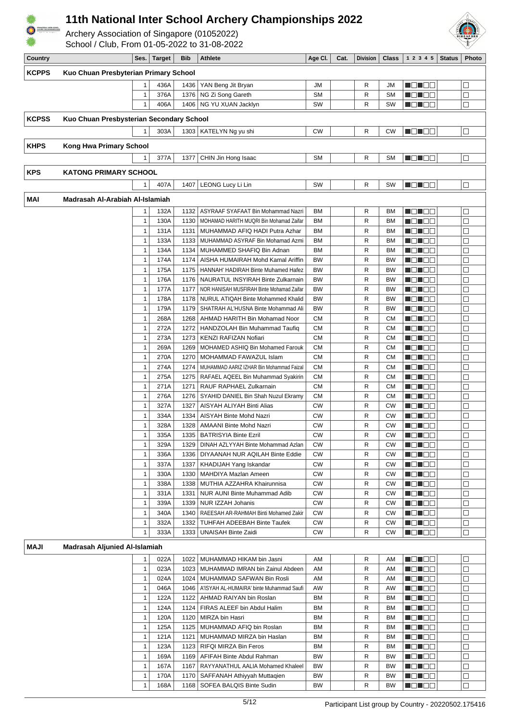

Archery Association of Singapore (01052022)





| Country      |                                          |                              | Ses.   Target | Bib          | <b>Athlete</b>                                            | Age Cl.                | Cat. | Division     | $Class \vert$   | 12345                 | Status | <b>Photo</b>     |
|--------------|------------------------------------------|------------------------------|---------------|--------------|-----------------------------------------------------------|------------------------|------|--------------|-----------------|-----------------------|--------|------------------|
| <b>KCPPS</b> | Kuo Chuan Presbyterian Primary School    |                              |               |              |                                                           |                        |      |              |                 |                       |        |                  |
|              |                                          |                              | 436A          |              |                                                           | JM                     |      | R            | JM              |                       |        | $\Box$           |
|              |                                          | 1                            |               |              | 1436   YAN Beng Jit Bryan                                 |                        |      |              |                 | NOTEE                 |        |                  |
|              |                                          | $\mathbf{1}$<br>$\mathbf{1}$ | 376A<br>406A  | 1376         | NG Zi Song Gareth<br>1406   NG YU XUAN Jacklyn            | <b>SM</b><br>SW        |      | R            | <b>SM</b><br>SW | HE 192                |        | $\Box$<br>$\Box$ |
|              |                                          |                              |               |              |                                                           |                        |      | R            |                 | MON DO                |        |                  |
| <b>KCPSS</b> | Kuo Chuan Presbysterian Secondary School |                              |               |              |                                                           |                        |      |              |                 |                       |        |                  |
|              |                                          | $\mathbf{1}$                 | 303A          |              | 1303   KATELYN Ng yu shi                                  | <b>CW</b>              |      | R            | <b>CW</b>       | MEN EE                |        | $\Box$           |
|              |                                          |                              |               |              |                                                           |                        |      |              |                 |                       |        |                  |
| <b>KHPS</b>  | <b>Kong Hwa Primary School</b>           |                              |               |              |                                                           |                        |      |              |                 |                       |        |                  |
|              |                                          | $\mathbf{1}$                 | 377A          | 1377         | CHIN Jin Hong Isaac                                       | <b>SM</b>              |      | R            | <b>SM</b>       | N ON BO               |        | $\Box$           |
| <b>KPS</b>   | <b>KATONG PRIMARY SCHOOL</b>             |                              |               |              |                                                           |                        |      |              |                 |                       |        |                  |
|              |                                          | $\mathbf{1}$                 | 407A          | 1407         | LEONG Lucy Li Lin                                         | SW                     |      | R            | SW              | N ON OB               |        | $\Box$           |
|              |                                          |                              |               |              |                                                           |                        |      |              |                 |                       |        |                  |
| MAI          | Madrasah Al-Arabiah Al-Islamiah          |                              |               |              |                                                           |                        |      |              |                 |                       |        |                  |
|              |                                          | 1                            | 132A          | 1132         | ASYRAAF SYAFAAT Bin Mohammad Nazri                        | <b>BM</b>              |      | R            | <b>BM</b>       | HE HE E               |        | $\Box$           |
|              |                                          | $\mathbf{1}$                 | 130A          | 1130         | MOHAMAD HARITH MUQRI Bin Mohamad Zaifar                   | ВM                     |      | R            | <b>BM</b>       | MENTE E               |        | $\Box$           |
|              |                                          | $\mathbf{1}$                 | 131A          | 1131         | MUHAMMAD AFIQ HADI Putra Azhar                            | <b>BM</b>              |      | R            | <b>BM</b>       | MEN E E               |        | $\Box$           |
|              |                                          | $\mathbf{1}$                 | 133A          | 1133         | MUHAMMAD ASYRAF Bin Mohamad Azmi                          | ВM                     |      | R            | <b>BM</b>       | N ON BE               |        | $\Box$           |
|              |                                          | $\mathbf{1}$                 | 134A          | 1134         | MUHAMMED SHAFIQ Bin Adnan                                 | ВM                     |      | R            | <b>BM</b>       | HEN EE                |        | $\Box$           |
|              |                                          | $\mathbf{1}$                 | 174A          | 1174         | AISHA HUMAIRAH Mohd Kamal Ariffin                         | <b>BW</b>              |      | R            | <b>BW</b>       | <u>n din biblio</u>   |        | $\Box$           |
|              |                                          | $\mathbf{1}$                 | 175A          | 1175         | HANNAH' HADIRAH Binte Muhamed Hafez                       | <b>BW</b>              |      | R            | <b>BW</b>       | MEN E E               |        | $\Box$           |
|              |                                          | $\mathbf{1}$                 | 176A          | 1176         | NAURATUL INSYIRAH Binte Zulkarnain                        | <b>BW</b>              |      | R            | <b>BW</b>       | n din Sin             |        | $\Box$           |
|              |                                          | $\mathbf{1}$                 | 177A          | 1177         | NOR HANISAH MUSFIRAH Binte Mohamad Zaifar                 | <b>BW</b>              |      | R            | <b>BW</b>       | N ON OO               |        | $\Box$           |
|              |                                          | $\mathbf{1}$                 | 178A          | 1178         | NURUL ATIQAH Binte Mohammed Khalid                        | <b>BW</b>              |      | $\mathsf{R}$ | <b>BW</b>       | mar e a               |        | $\Box$           |
|              |                                          | $\mathbf{1}$                 | 179A          | 1179         | SHATRAH AL'HUSNA Binte Mohammad Ali                       | <b>BW</b>              |      | R            | <b>BW</b>       | MEN EE                |        | $\Box$           |
|              |                                          | $\mathbf{1}$                 | 268A          | 1268         | AHMAD HARITH Bin Mohamad Noor                             | <b>CM</b>              |      | R            | СM              | - 8 - 8 -             |        | $\Box$           |
|              |                                          | $\mathbf{1}$<br>$\mathbf{1}$ | 272A          | 1272         | HANDZOLAH Bin Muhammad Taufiq                             | <b>CM</b><br><b>CM</b> |      | R<br>R       | CМ<br><b>CM</b> | n Ein Ein<br>N DI DE  |        | $\Box$<br>$\Box$ |
|              |                                          | $\mathbf{1}$                 | 273A<br>269A  | 1273<br>1269 | KENZI RAFIZAN Nofiari<br>MOHAMED ASHIQ Bin Mohamed Farouk | <b>CM</b>              |      | R            | СM              | MEN E E               |        | $\Box$           |
|              |                                          | $\mathbf{1}$                 | 270A          | 1270         | MOHAMMAD FAWAZUL Islam                                    | <b>CM</b>              |      | R            | CМ              | 10 E E                |        | $\Box$           |
|              |                                          | $\mathbf{1}$                 | 274A          | 1274         | MUHAMMAD AARIZ IZHAR Bin Mohammad Faizal                  | <b>CM</b>              |      | R            | <b>CM</b>       | n din Sis             |        | $\Box$           |
|              |                                          | $\mathbf{1}$                 | 275A          | 1275         | RAFAEL AQEEL Bin Muhammad Syakirin                        | <b>CM</b>              |      | R            | СM              | N ON DE               |        | $\Box$           |
|              |                                          | $\mathbf{1}$                 | 271A          | 1271         | RAUF RAPHAEL Zulkarnain                                   | <b>CM</b>              |      | $\mathsf{R}$ | <b>CM</b>       | m Bin Ele             |        | $\Box$           |
|              |                                          | $\mathbf{1}$                 | 276A          | 1276         | SYAHID DANIEL Bin Shah Nuzul Ekramy                       | <b>CM</b>              |      | R            | СM              | - 8 - 8 -             |        | $\Box$           |
|              |                                          | $\mathbf{1}$                 | 327A          | 1327         | AISYAH ALIYAH Binti Alias                                 | <b>CW</b>              |      | R            | <b>CW</b>       | - 8 - 8 -             |        | $\Box$           |
|              |                                          | 1                            | 334A          | 1334         | AISYAH Binte Mohd Nazri                                   | <b>CW</b>              |      | R            | СW              | - 8 - 8 -             |        | $\Box$           |
|              |                                          | $\mathbf{1}$                 | 328A          | 1328         | <b>AMAANI Binte Mohd Nazri</b>                            | <b>CW</b>              |      | R            | <b>CW</b>       | n 8 D B B             |        | $\Box$           |
|              |                                          | $\mathbf{1}$                 | 335A          | 1335         | <b>BATRISYIA Binte Ezril</b>                              | <b>CW</b>              |      | R            | <b>CW</b>       | H 81 82               |        | $\Box$           |
|              |                                          | $\mathbf{1}$                 | 329A          |              | 1329   DINAH AZLYYAH Binte Mohammad Azlan                 | <b>CW</b>              |      | R            | <b>CW</b>       | ND ND D               |        | $\Box$           |
|              |                                          | $\mathbf{1}$                 | 336A          | 1336         | <b>DIYAANAH NUR AQILAH Binte Eddie</b>                    | <b>CW</b>              |      | R            | СW              |                       |        | $\Box$           |
|              |                                          | $\mathbf{1}$                 | 337A          | 1337         | KHADIJAH Yang Iskandar                                    | <b>CW</b>              |      | R            | <b>CW</b>       | MOL OB                |        | $\Box$           |
|              |                                          | $\mathbf{1}$                 | 330A          | 1330         | MAHDIYA Mazlan Ameen                                      | <b>CW</b>              |      | R            | <b>CW</b>       | MEN E E               |        | $\Box$           |
|              |                                          | $\mathbf{1}$                 | 338A          | 1338         | MUTHIA AZZAHRA Khairunnisa                                | <b>CW</b>              |      | R            | CW              | munua                 |        | $\Box$           |
|              |                                          | $\mathbf{1}$                 | 331A          | 1331         | NUR AUNI Binte Muhammad Adib                              | <b>CW</b>              |      | R            | СW              | <u> Heleta </u>       |        | $\Box$           |
|              |                                          | $\mathbf{1}$                 | 339A          | 1339         | NUR IZZAH Johanis                                         | <b>CW</b>              |      | R            | СW              | MEN EE                |        | $\Box$           |
|              |                                          | $\mathbf{1}$                 | 340A          | 1340         | RAEESAH AR-RAHMAH Binti Mohamed Zakir                     | CW                     |      | R            | <b>CW</b>       | N ON OC               |        | $\Box$           |
|              |                                          | $\mathbf{1}$                 | 332A          | 1332         | TUHFAH ADEEBAH Binte Taufek                               | <b>CW</b>              |      | R            | CW              | <u> Heimen</u>        |        | $\Box$           |
|              |                                          | $\mathbf{1}$                 | 333A          |              | 1333   UNAISAH Binte Zaidi                                | <b>CW</b>              |      | R            | <b>CW</b>       | N EN ELE              |        | $\Box$           |
| MAJI         | Madrasah Aljunied Al-Islamiah            |                              |               |              |                                                           |                        |      |              |                 |                       |        |                  |
|              |                                          | 1                            | 022A          | 1022         | MUHAMMAD HIKAM bin Jasni                                  | AM                     |      | R            | AM              | MON BE                |        | $\Box$           |
|              |                                          | $\mathbf{1}$                 | 023A          | 1023         | MUHAMMAD IMRAN bin Zainul Abdeen                          | AM                     |      | R            | AM              | MON BE                |        | $\Box$           |
|              |                                          | $\mathbf{1}$                 | 024A          | 1024         | MUHAMMAD SAFWAN Bin Rosli                                 | AM                     |      | R            | AM              | MON SE                |        | $\Box$           |
|              |                                          | $\mathbf{1}$                 | 046A          | 1046         | A'ISYAH AL-HUMAIRA' binte Muhammad Saufi                  | AW                     |      | R            | AW              | <u> Heleta in pro</u> |        | $\Box$           |
|              |                                          | $\mathbf{1}$                 | 122A          | 1122         | AHMAD RAIYAN bin Roslan                                   | ВM                     |      | R            | BM              | NOTOD                 |        | $\Box$           |
|              |                                          | $\mathbf{1}$                 | 124A          | 1124         | FIRAS ALEEF bin Abdul Halim                               | ВM                     |      | R            | <b>BM</b>       | MON BE                |        | $\Box$           |
|              |                                          | $\mathbf{1}$                 | 120A          | 1120         | MIRZA bin Hasri                                           | ВM                     |      | R            | <b>BM</b>       | MEN DE                |        | $\Box$           |
|              |                                          | $\mathbf{1}$                 | 125A          |              | 1125   MUHAMMAD AFIQ bin Roslan                           | ВM                     |      | R            | ВM              | <u> Heleta i</u>      |        | $\Box$           |
|              |                                          | $\mathbf{1}$                 | 121A          | 1121         | MUHAMMAD MIRZA bin Haslan                                 | ВM                     |      | R            | ВM              | MEN EE                |        | $\Box$           |
|              |                                          | $\mathbf{1}$                 | 123A          | 1123         | <b>RIFQI MIRZA Bin Feros</b>                              | ВM                     |      | R            | BM              | N ON OC               |        | $\Box$           |
|              |                                          | $\mathbf{1}$                 | 169A          | 1169         | AFIFAH Binte Abdul Rahman                                 | BW                     |      | R            | BW              | an di Ba              |        | $\Box$           |
|              |                                          | $\mathbf{1}$                 | 167A          | 1167         | RAYYANATHUL AALIA Mohamed Khaleel                         | BW                     |      | R            | BW              | N DI DE               |        | $\Box$           |
|              |                                          | $\mathbf{1}$                 | 170A          |              | 1170   SAFFANAH Athiyyah Muttaqien                        | BW                     |      | R            | <b>BW</b>       | MON OB                |        | П                |

1 168A 1168 SOFEA BALQIS Binte Sudin BW R BW IODO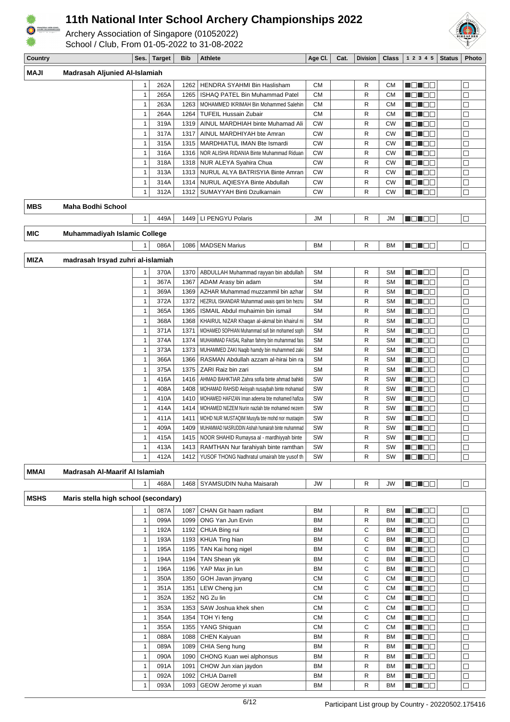

Archery Association of Singapore (01052022) School / Club, From 01-05-2022 to 31-08-2022



| Country     |                                      | Ses.         | <b>Target</b> | <b>Bib</b>   | <b>Athlete</b>                                                                       | Age Cl.                | Cat. | <b>Division</b> | <b>Class</b>           | 1 2 3 4 5              | <b>Status</b> | Photo       |
|-------------|--------------------------------------|--------------|---------------|--------------|--------------------------------------------------------------------------------------|------------------------|------|-----------------|------------------------|------------------------|---------------|-------------|
| <b>NAJI</b> | Madrasah Aljunied Al-Islamiah        |              |               |              |                                                                                      |                        |      |                 |                        |                        |               |             |
|             |                                      |              | 262A          | 1262         | HENDRA SYAHMI Bin Haslisham                                                          | <b>CM</b>              |      | R               | <b>CM</b>              | MO NOG                 |               | $\Box$      |
|             |                                      | $\mathbf{1}$ | 265A          | 1265         | ISHAQ PATEL Bin Muhammad Patel                                                       | <b>CM</b>              |      | R               | <b>CM</b>              | N DI BE                |               | $\Box$      |
|             |                                      | 1            | 263A          | 1263         | MOHAMMED IKRIMAH Bin Mohammed Salehin                                                | <b>CM</b>              |      | R               | CМ                     | Mahal Bila             |               | $\Box$      |
|             |                                      | 1            | 264A          | 1264         | <b>TUFEIL Hussain Zubair</b>                                                         | <b>CM</b>              |      | R               | СM                     | U 80 88                |               | □           |
|             |                                      | 1            | 319A          | 1319         | AINUL MARDHIAH binte Muhamad Ali                                                     | <b>CW</b>              |      | R               | <b>CW</b>              |                        |               | $\Box$      |
|             |                                      | 1            | 317A          | 1317         | AINUL MARDHIYAH bte Amran                                                            | CW                     |      | R               | <b>CW</b>              |                        |               | $\Box$      |
|             |                                      | 1            | 315A          | 1315         | MARDHIATUL IMAN Bte Ismardi                                                          | CW                     |      | R               | <b>CW</b>              |                        |               | $\Box$      |
|             |                                      | 1            | 316A          | 1316         | NOR ALISHA RIDANIA Binte Muhammad Riduan                                             | <b>CW</b>              |      | R               | <b>CW</b>              | 80 DC                  |               | □           |
|             |                                      | 1            | 318A          | 1318         | NUR ALEYA Syahira Chua                                                               | <b>CW</b>              |      | R               | <b>CW</b>              | U O D O G              |               | $\Box$      |
|             |                                      | 1            | 313A          | 1313         | NURUL ALYA BATRISYIA Binte Amran                                                     | <b>CW</b>              |      | R               | <b>CW</b>              |                        |               | $\Box$      |
|             |                                      | $\mathbf{1}$ | 314A          | 1314         | NURUL AQIESYA Binte Abdullah                                                         | <b>CW</b>              |      | R               | <b>CW</b>              |                        |               | $\Box$      |
|             |                                      | $\mathbf{1}$ | 312A          | 1312         | SUMAYYAH Binti Dzulkarnain                                                           | CW                     |      | R               | СW                     | MEN DE                 |               | $\Box$      |
| <b>MBS</b>  | <b>Maha Bodhi School</b>             |              |               |              |                                                                                      |                        |      |                 |                        |                        |               |             |
|             |                                      | 1            | 449A          | 1449         | LI PENGYU Polaris                                                                    | <b>JM</b>              |      | R               | <b>JM</b>              | N ON DE                |               | $\Box$      |
| <b>MIC</b>  | <b>Muhammadiyah Islamic College</b>  |              |               |              |                                                                                      |                        |      |                 |                        |                        |               |             |
|             |                                      | 1            | 086A          | 1086         | <b>MADSEN Marius</b>                                                                 | ВM                     |      | R               | BM                     | N ON DO                |               | $\Box$      |
| <b>MIZA</b> | madrasah Irsyad zuhri al-islamiah    |              |               |              |                                                                                      |                        |      |                 |                        |                        |               |             |
|             |                                      |              |               |              |                                                                                      |                        |      |                 |                        |                        |               |             |
|             |                                      | 1            | 370A          | 1370         | ABDULLAH Muhammad rayyan bin abdullah                                                | <b>SM</b>              |      | R               | <b>SM</b>              | N DE DE                |               | $\Box$      |
|             |                                      | 1<br>1       | 367A          | 1367         | ADAM Arasy bin adam                                                                  | <b>SM</b><br><b>SM</b> |      | R               | SΜ                     | HD 192                 |               | $\Box$      |
|             |                                      | $\mathbf{1}$ | 369A<br>372A  | 1369<br>1372 | AZHAR Muhammad muzzammil bin azhar<br>HEZRUL ISKANDAR Muhammad uwais qarni bin hezru | <b>SM</b>              |      | R<br>R          | <b>SM</b><br><b>SM</b> | U O D O C<br>U O D O G |               | □<br>$\Box$ |
|             |                                      | 1            | 365A          | 1365         | ISMAIL Abdul muhaimin bin ismail                                                     | <b>SM</b>              |      | R               | <b>SM</b>              |                        |               | П           |
|             |                                      | $\mathbf{1}$ | 368A          | 1368         | KHAIRUL NIZAR Khaqan al-akmal bin khairul ni                                         | <b>SM</b>              |      | R               | <b>SM</b>              |                        |               | $\Box$      |
|             |                                      | 1            | 371A          | 1371         | MOHAMED SOPHIAN Muhammad sufi bin mohamed soph                                       | <b>SM</b>              |      | R               | <b>SM</b>              | U DI DO                |               | □           |
|             |                                      | $\mathbf{1}$ | 374A          | 1374         | MUHAMMAD FAISAL Raihan fahmy bin muhammad fais                                       | <b>SM</b>              |      | R               | <b>SM</b>              | dia 190                |               | $\Box$      |
|             |                                      | 1            | 373A          | 1373         | MUHAMMED ZAKI Naqib hamdy bin muhammed zaki                                          | <b>SM</b>              |      | R               | <b>SM</b>              | 88 88 88 8             |               | $\Box$      |
|             |                                      | $\mathbf{1}$ | 366A          | 1366         | RASMAN Abdullah azzam al-hirai bin ra                                                | <b>SM</b>              |      | R               | <b>SM</b>              |                        |               | $\Box$      |
|             |                                      | 1            | 375A          | 1375         | ZARI Raiz bin zari                                                                   | <b>SM</b>              |      | R               | <b>SM</b>              | <u> 101 100 </u>       |               | □           |
|             |                                      | 1            | 416A          | 1416         | AHMAD BAHKTIAR Zahra sofia binte ahmad bahkti                                        | SW                     |      | R               | SW                     | NEN EE                 |               | □           |
|             |                                      | $\mathbf{1}$ | 408A          | 1408         | MOHAMAD RAHSID Aeisyah nusaybah binte mohamad                                        | SW                     |      | R               | SW                     | d di se                |               | $\Box$      |
|             |                                      | 1            | 410A          | 1410         | MOHAMED HAFIZAN Iman adeena bte mohamed hafiza                                       | SW                     |      | R               | SW                     |                        |               | $\Box$      |
|             |                                      | $\mathbf{1}$ | 414A          | 1414         | MOHAMED NEZEM Nurin nazlah bte mohamed nezem                                         | SW                     |      | R               | SW                     | U DI DO                |               | $\Box$      |
|             |                                      | 1            | 411A          | 1411         | MOHD NUR MUSTAQIM Musyfa bte mohd nor mustaqim                                       | SW                     |      | R               | <b>SW</b>              |                        |               | $\Box$      |
|             |                                      | 1            | 409A          | 1409         | MUHAMMAD NASRUDDIN Aishah humairah binte muhammad                                    | SW                     |      | R               | SW                     |                        |               | $\Box$      |
|             |                                      |              | 415A          |              | 1415   NOOR SHAHID Rumaysa al - mardhiyyah binte                                     | SW                     |      | R               | <b>SW</b>              | U DU DO                |               | $\Box$      |
|             |                                      | 1            | 413A          | 1413         | RAMTHAN Nur farahiyah binte ramthan                                                  | SW                     |      | R               | SW                     | M DI BE                |               | $\Box$      |
|             |                                      | 1            | 412A          | 1412         | YUSOF THONG Nadhratul umairah bte yusof th                                           | SW                     |      | R               | SW                     | MON 80                 |               | $\Box$      |
| MMAI        | Madrasah Al-Maarif Al Islamiah       |              |               |              |                                                                                      |                        |      |                 |                        |                        |               |             |
|             |                                      |              | 468A          | 1468         | SYAMSUDIN Nuha Maisarah                                                              | JW                     |      | R               | <b>JW</b>              | MONDER                 |               | $\Box$      |
| <b>MSHS</b> | Maris stella high school (secondary) |              |               |              |                                                                                      |                        |      |                 |                        |                        |               |             |
|             |                                      | 1            | 087A          | 1087         | CHAN Git haam radiant                                                                | ВM                     |      | R               | ВM                     | N DI BEL               |               | $\Box$      |
|             |                                      | 1            | 099A          | 1099         | ONG Yan Jun Ervin                                                                    | ВM                     |      | R               | BM                     |                        |               | $\Box$      |
|             |                                      | 1            | 192A          | 1192         | CHUA Bing rui                                                                        | BM                     |      | С               | ВM                     |                        |               | $\Box$      |
|             |                                      | $\mathbf{1}$ | 193A          | 1193         | KHUA Ting hian                                                                       | BM                     |      | C               | ВM                     | N O N O O              |               | $\Box$      |
|             |                                      | 1            | 195A          | 1195         | TAN Kai hong nigel                                                                   | ВM                     |      | C               | ВM                     | <u>lie in de</u>       |               | $\Box$      |
|             |                                      | $\mathbf{1}$ | 194A          | 1194         | TAN Shean yik                                                                        | BM                     |      | C               | ВM                     | M O N O O              |               | $\Box$      |
|             |                                      | $\mathbf{1}$ | 196A          | 1196         | YAP Max jin lun                                                                      | <b>BM</b>              |      | C               | BM                     | NON OC                 |               | $\Box$      |
|             |                                      | $\mathbf{1}$ | 350A          | 1350         | GOH Javan jinyang                                                                    | <b>CM</b>              |      | C               | СM                     | MONDER                 |               | $\Box$      |
|             |                                      | 1            | 351A          | 1351         | LEW Cheng jun                                                                        | СM                     |      | С               | CМ                     | N DI BE                |               | $\Box$      |
|             |                                      | 1            | 352A          | 1352         | NG Zu lin                                                                            | СM                     |      | С               | CМ                     | <b>NOMOD</b>           |               | $\Box$      |
|             |                                      | 1            | 353A          | 1353         | SAW Joshua khek shen                                                                 | <b>CM</b>              |      | С               | СM                     | NON OC                 |               | $\Box$      |
|             |                                      | $\mathbf{1}$ | 354A          | 1354         | TOH Yi feng                                                                          | СM                     |      | С               | CМ                     | MEN E E                |               | $\Box$      |
|             |                                      | 1            | 355A          | 1355         | YANG Shiquan                                                                         | ${\sf CM}$             |      | C               | <b>CM</b>              | N DI BE                |               | $\Box$      |
|             |                                      | 1            | 088A          | 1088         | CHEN Kaiyuan                                                                         | ВM                     |      | R               | ВM                     | M O N O O              |               | $\Box$      |
|             |                                      | 1            | 089A          | 1089         | CHIA Seng hung                                                                       | <b>BM</b>              |      | R               | BM                     | NON OB                 |               | $\Box$      |
|             |                                      | $\mathbf{1}$ | 090A          | 1090         | CHONG Kuan wei alphonsus                                                             | BM                     |      | R               | BM                     | MON OO                 |               | $\Box$      |
|             |                                      | 1            | 091A          | 1091         | CHOW Jun xian jaydon                                                                 | ВM                     |      | R               | BM                     | N DI BE                |               | $\Box$      |
|             |                                      | $\mathbf{1}$ | 092A          | 1092         | <b>CHUA Darrell</b>                                                                  | BM                     |      | R               | BM                     | <b>Relac</b>           |               | П           |

1 093A 1093 GEOW Jerome yi xuan BM R BM BM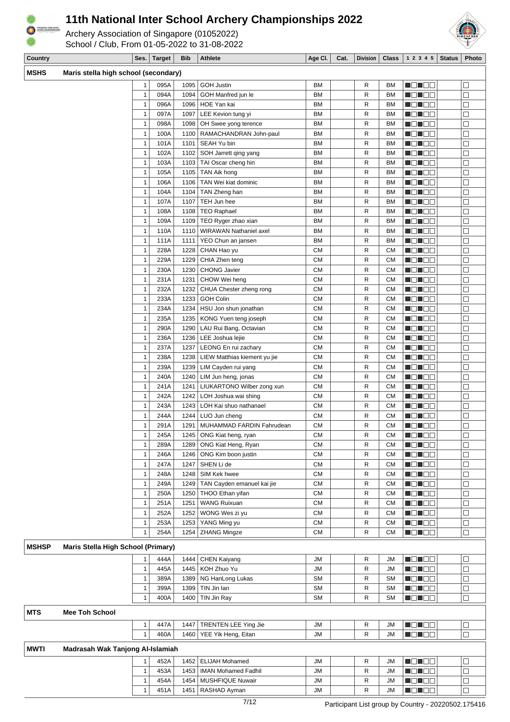

Archery Association of Singapore (01052022) School / Club, From 01-05-2022 to 31-08-2022



**Country Ses. Target Bib Athlete Age Cl. Cat. Division Class 1 2 3 4 5 Status Photo**

| טחטויו       | maris stella night sulluul (seuulual y) |              |      |      |                               |            |              |           |                  |        |
|--------------|-----------------------------------------|--------------|------|------|-------------------------------|------------|--------------|-----------|------------------|--------|
|              |                                         | $\mathbf{1}$ | 095A | 1095 | <b>GOH Justin</b>             | <b>BM</b>  | R            | <b>BM</b> | NO NGC           | $\Box$ |
|              |                                         | $\mathbf{1}$ | 094A | 1094 | GOH Manfred jun le            | <b>BM</b>  | R            | <b>BM</b> | MONDER           | $\Box$ |
|              |                                         | $\mathbf{1}$ | 096A | 1096 | HOE Yan kai                   | <b>BM</b>  | R            | <b>BM</b> | MEN EE           | $\Box$ |
|              |                                         | $\mathbf{1}$ | 097A | 1097 | LEE Kevion tung yi            | <b>BM</b>  | R            | BM        | MB NEE           | $\Box$ |
|              |                                         | $\mathbf{1}$ | 098A | 1098 | OH Swee yong terence          | ВM         | R            | <b>BM</b> | NO NEW           | $\Box$ |
|              |                                         | $\mathbf{1}$ | 100A | 1100 | RAMACHANDRAN John-paul        | <b>BM</b>  | R            | <b>BM</b> | NO NEG           | $\Box$ |
|              |                                         | $\mathbf{1}$ | 101A | 1101 | SEAH Yu bin                   | <b>BM</b>  | R            | <b>BM</b> | MONDE            | $\Box$ |
|              |                                         | $\mathbf{1}$ | 102A | 1102 | SOH Jarrett qing yang         | BM         | R            | <b>BM</b> | MO JOB           | $\Box$ |
|              |                                         | $\mathbf{1}$ | 103A | 1103 | TAI Oscar cheng hin           | ВM         | R            | <b>BM</b> | MON DO           | $\Box$ |
|              |                                         | $\mathbf{1}$ | 105A | 1105 | TAN Aik hong                  | <b>BM</b>  | R            | <b>BM</b> | <u> de le e</u>  | $\Box$ |
|              |                                         | $\mathbf{1}$ | 106A | 1106 | TAN Wei kiat dominic          | <b>BM</b>  | R            | <b>BM</b> | man do           | $\Box$ |
|              |                                         | $\mathbf{1}$ | 104A | 1104 | TAN Zheng han                 | <b>BM</b>  | R            | <b>BM</b> | MB NEE           | □      |
|              |                                         | $\mathbf{1}$ | 107A | 1107 | TEH Jun hee                   | <b>BM</b>  | R            | <b>BM</b> | M S S S G        | $\Box$ |
|              |                                         | $\mathbf{1}$ |      |      |                               |            |              |           |                  |        |
|              |                                         |              | 108A | 1108 | <b>TEO Raphael</b>            | <b>BM</b>  | R            | <b>BM</b> | MEN SE           | $\Box$ |
|              |                                         | $\mathbf{1}$ | 109A | 1109 | TEO Ryger zhao xian           | <b>BM</b>  | R            | <b>BM</b> | <u>s de la</u> p | $\Box$ |
|              |                                         | $\mathbf{1}$ | 110A | 1110 | WIRAWAN Nathaniel axel        | <b>BM</b>  | R            | <b>BM</b> |                  | $\Box$ |
|              |                                         | $\mathbf{1}$ | 111A | 1111 | YEO Chun an jansen            | <b>BM</b>  | R            | <b>BM</b> | NG TEE           | $\Box$ |
|              |                                         | $\mathbf{1}$ | 228A | 1228 | CHAN Hao yu                   | <b>CM</b>  | R            | СM        | <u> Heimen</u>   | $\Box$ |
|              |                                         | $\mathbf{1}$ | 229A | 1229 | CHIA Zhen teng                | <b>CM</b>  | R            | <b>CM</b> | <u> Hellee</u>   | $\Box$ |
|              |                                         | $\mathbf{1}$ | 230A | 1230 | <b>CHONG Javier</b>           | <b>CM</b>  | R            | <b>CM</b> | MO HOO           | $\Box$ |
|              |                                         | $\mathbf{1}$ | 231A | 1231 | CHOW Wei heng                 | СM         | R            | <b>CM</b> | MEN DE           | $\Box$ |
|              |                                         | $\mathbf{1}$ | 232A | 1232 | CHUA Chester zheng rong       | <b>CM</b>  | R            | <b>CM</b> | MEN DE           | $\Box$ |
|              |                                         | $\mathbf{1}$ | 233A | 1233 | <b>GOH Colin</b>              | <b>CM</b>  | R            | <b>CM</b> | MB 198           | $\Box$ |
|              |                                         | $\mathbf{1}$ | 234A | 1234 | HSU Jon shun jonathan         | <b>CM</b>  | R            | <b>CM</b> | Ma Ma            | □      |
|              |                                         | $\mathbf{1}$ | 235A | 1235 | KONG Yuen teng joseph         | <b>CM</b>  | R            | <b>CM</b> | MON 80           | $\Box$ |
|              |                                         | $\mathbf{1}$ | 290A | 1290 | LAU Rui Bang, Octavian        | СM         | R            | <b>CM</b> | <u> Heimen</u>   | $\Box$ |
|              |                                         | $\mathbf{1}$ | 236A | 1236 | LEE Joshua lejie              | СM         | R            | CМ        | <u> Heimen</u>   | $\Box$ |
|              |                                         | $\mathbf{1}$ | 237A | 1237 | LEONG En rui zachary          | <b>CM</b>  | R            | <b>CM</b> |                  | $\Box$ |
|              |                                         | $\mathbf{1}$ | 238A | 1238 | LIEW Matthias kiement yu jie  | СM         | R            | <b>CM</b> | MON 80           | $\Box$ |
|              |                                         | $\mathbf{1}$ | 239A | 1239 | LIM Cayden rui yang           | СM         | $\mathsf{R}$ | CM        | <u> de le e</u>  | $\Box$ |
|              |                                         | $\mathbf{1}$ | 240A | 1240 | LIM Jun heng, jonas           | ${\sf CM}$ | $\mathsf{R}$ | СM        | <u>s de la</u> p | $\Box$ |
|              |                                         | $\mathbf{1}$ | 241A | 1241 | LIUKARTONO Wilber zong xun    | <b>CM</b>  | R            | <b>CM</b> | MEN EE           | $\Box$ |
|              |                                         | $\mathbf{1}$ | 242A | 1242 | LOH Joshua wai shing          | <b>CM</b>  | $\mathsf{R}$ | <b>CM</b> | NG NGC           | $\Box$ |
|              |                                         | $\mathbf{1}$ | 243A |      | 1243   LOH Kai shuo nathanael | <b>CM</b>  | R            | <b>CM</b> | MB 196           | $\Box$ |
|              |                                         | $\mathbf{1}$ | 244A | 1244 | LUO Jun cheng                 | <b>CM</b>  | R            | <b>CM</b> | MON OO           | $\Box$ |
|              |                                         | $\mathbf{1}$ | 291A | 1291 | MUHAMMAD FARDIN Fahrudean     | <b>CM</b>  | R            | СM        | MOMOO            | $\Box$ |
|              |                                         | $\mathbf{1}$ | 245A | 1245 | ONG Kiat heng, ryan           | CM         | R            | <b>CM</b> | MON OO           | $\Box$ |
|              |                                         | $\mathbf{1}$ | 289A | 1289 | ONG Kiat Heng, Ryan           | <b>CM</b>  | R            | <b>CM</b> | MO NOG           | $\Box$ |
|              |                                         | $\mathbf{1}$ | 246A |      | 1246   ONG Kim boon justin    | <b>CM</b>  | $\mathsf{R}$ | <b>CM</b> | MONDER           | $\Box$ |
|              |                                         | $\mathbf{1}$ | 247A | 1247 | SHEN Li de                    | СM         | R            | <b>CM</b> | MO JOB           | □      |
|              |                                         | $\mathbf{1}$ | 248A | 1248 | SIM Kek hwee                  | <b>CM</b>  | R            | <b>CM</b> | 8 T 88           | $\Box$ |
|              |                                         | $\mathbf{1}$ |      |      |                               |            |              |           |                  |        |
|              |                                         |              | 249A | 1249 | TAN Cayden emanuel kai jie    | <b>CM</b>  | R            | <b>CM</b> | MONDER           | $\Box$ |
|              |                                         | $\mathbf{1}$ | 250A | 1250 | THOO Ethan yifan              | <b>CM</b>  | R            | <b>CM</b> | MONDE            | $\Box$ |
|              |                                         | $\mathbf{1}$ | 251A | 1251 | <b>WANG Ruixuan</b>           | <b>CM</b>  | R            | <b>CM</b> | MO HOO           | $\Box$ |
|              |                                         | $\mathbf{1}$ | 252A | 1252 | WONG Wes zi yu                | <b>CM</b>  | R            | CМ        | MEN DE           | $\Box$ |
|              |                                         | $\mathbf{1}$ | 253A | 1253 | YANG Ming yu                  | <b>CM</b>  | R            | <b>CM</b> | N DI BE          | $\Box$ |
|              |                                         | $\mathbf{1}$ | 254A | 1254 | <b>ZHANG Mingze</b>           | <b>CM</b>  | R            | <b>CM</b> | <u>de le</u> s   | $\Box$ |
| <b>MSHSP</b> | Maris Stella High School (Primary)      |              |      |      |                               |            |              |           |                  |        |
|              |                                         | 1            | 444A | 1444 | CHEN Kaiyang                  | JM         | R            | JM        | MONDER           | $\Box$ |
|              |                                         | $\mathbf{1}$ | 445A | 1445 | KOH Zhuo Yu                   | JМ         | R            | <b>JM</b> |                  |        |
|              |                                         | $\mathbf{1}$ | 389A | 1389 | NG HanLong Lukas              | <b>SM</b>  | R            | <b>SM</b> | MON 80           | $\Box$ |
|              |                                         |              |      |      |                               |            |              |           | N O N O O        | $\Box$ |
|              |                                         | $\mathbf{1}$ | 399A | 1399 | TIN Jin Ian                   | <b>SM</b>  | R            | <b>SM</b> | N EI DE          | $\Box$ |
|              |                                         | $\mathbf{1}$ | 400A |      | 1400 TIN Jin Ray              | <b>SM</b>  | R            | <b>SM</b> | MEN EE           | $\Box$ |
| <b>MTS</b>   | <b>Mee Toh School</b>                   |              |      |      |                               |            |              |           |                  |        |
|              |                                         | $\mathbf{1}$ | 447A | 1447 | TRENTEN LEE Ying Jie          | JМ         | R            | JM        | MONDE            | $\Box$ |
|              |                                         | $\mathbf{1}$ | 460A | 1460 | YEE Yik Heng, Eitan           | <b>JM</b>  | R            | JМ        | MON BE           | $\Box$ |
|              |                                         |              |      |      |                               |            |              |           |                  |        |
| MWTI         | Madrasah Wak Tanjong Al-Islamiah        |              |      |      |                               |            |              |           |                  |        |
|              |                                         | 1            | 452A | 1452 | <b>ELIJAH Mohamed</b>         | JМ         | R            | JМ        | MO NOO           | $\Box$ |
|              |                                         | $\mathbf{1}$ | 453A | 1453 | <b>IMAN Mohamed Fadhil</b>    | JM         | R            | JM        | N DIN OO         | $\Box$ |
|              |                                         | $\mathbf{1}$ | 454A | 1454 | MUSHFIQUE Nuwair              | <b>JM</b>  | R            | JM        | MOMOO            | □      |
|              |                                         | $\mathbf{1}$ | 451A | 1451 | RASHAD Ayman                  | JM         | R            | JM        | NO NGC           | $\Box$ |
|              |                                         |              |      |      |                               |            |              |           |                  |        |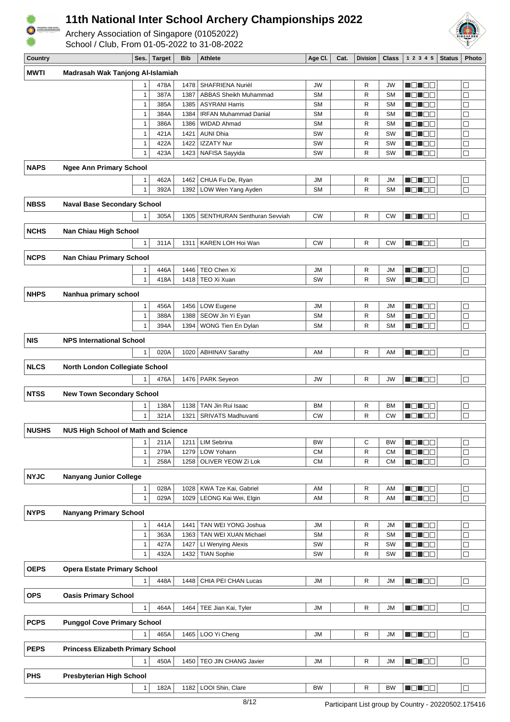

Archery Association of Singapore (01052022) School / Club, From 01-05-2022 to 31-08-2022



| Country      |                                            | Ses.                           | <b>Target</b> | <b>Bib</b>   | <b>Athlete</b>                         | Age CI.                | Cat. | <b>Division</b> | <b>Class</b>           | 1 2 3 4 5          | <b>Status</b> | Photo            |
|--------------|--------------------------------------------|--------------------------------|---------------|--------------|----------------------------------------|------------------------|------|-----------------|------------------------|--------------------|---------------|------------------|
| <b>MWTI</b>  | Madrasah Wak Tanjong Al-Islamiah           |                                |               |              |                                        |                        |      |                 |                        |                    |               |                  |
|              |                                            | 1                              | 478A          | 1478         | SHAFRIENA Nuriél                       | JW                     |      | R               | JW                     | MON DE             |               | $\Box$           |
|              |                                            | $\mathbf{1}$                   | 387A          | 1387         | <b>ABBAS Sheikh Muhammad</b>           | <b>SM</b>              |      | R               | <b>SM</b>              | N EN EIS           |               | $\Box$           |
|              |                                            | $\mathbf{1}$                   | 385A          | 1385         | <b>ASYRANI Harris</b>                  | <b>SM</b>              |      | $\mathsf{R}$    | <b>SM</b>              | MEN DE             |               | $\Box$           |
|              |                                            | $\mathbf{1}$                   | 384A          | 1384         | <b>IRFAN Muhammad Danial</b>           | <b>SM</b>              |      | R               | <b>SM</b>              | ME NOE             |               | $\Box$           |
|              |                                            | $\mathbf{1}$                   | 386A          | 1386         | <b>WIDAD Ahmad</b>                     | <b>SM</b>              |      | R               | <b>SM</b>              | ME NEE             |               | $\Box$           |
|              |                                            | $\mathbf{1}$                   | 421A          | 1421         | <b>AUNI Dhia</b>                       | SW                     |      | R               | SW                     | HEHEE              |               | $\Box$           |
|              |                                            | $\mathbf{1}$                   | 422A          | 1422         | <b>IZZATY Nur</b>                      | SW                     |      | R               | SW                     | Mana kata          |               | $\Box$           |
|              |                                            | $\mathbf 1$                    | 423A          | 1423         | NAFISA Sayyida                         | SW                     |      | R               | SW                     | M D M              |               | $\Box$           |
| <b>NAPS</b>  | <b>Ngee Ann Primary School</b>             |                                |               |              |                                        |                        |      |                 |                        |                    |               |                  |
|              |                                            | $\mathbf{1}$                   | 462A          | 1462         | CHUA Fu De, Ryan                       | <b>JM</b>              |      | R               | JM                     | NO NOT             |               | $\Box$           |
|              |                                            | $\mathbf{1}$                   | 392A          | 1392         | LOW Wen Yang Ayden                     | <b>SM</b>              |      | R               | <b>SM</b>              | ME NEE             |               | $\Box$           |
|              |                                            |                                |               |              |                                        |                        |      |                 |                        |                    |               |                  |
| <b>NBSS</b>  | <b>Naval Base Secondary School</b>         |                                |               |              |                                        |                        |      |                 |                        |                    |               |                  |
|              |                                            | $\mathbf{1}$                   | 305A          | 1305         | SENTHURAN Senthuran Sevviah            | CW                     |      | R               | <b>CW</b>              | MEN E E            |               | $\Box$           |
| NCHS         | Nan Chiau High School                      |                                |               |              |                                        |                        |      |                 |                        |                    |               |                  |
|              |                                            |                                |               |              |                                        |                        |      |                 |                        |                    |               |                  |
|              |                                            | $\mathbf{1}$                   | 311A          | 1311         | KAREN LOH Hoi Wan                      | <b>CW</b>              |      | R               | <b>CW</b>              | MEN E E            |               | $\Box$           |
| <b>NCPS</b>  | <b>Nan Chiau Primary School</b>            |                                |               |              |                                        |                        |      |                 |                        |                    |               |                  |
|              |                                            | 1                              | 446A          | 1446         | TEO Chen Xi                            | JМ                     |      | R               | <b>JM</b>              | MO NO W            |               | $\Box$           |
|              |                                            | $\mathbf{1}$                   | 418A          | 1418         | TEO Xi Xuan                            | SW                     |      | R               | SW                     | ME NEE             |               | $\Box$           |
| <b>NHPS</b>  | Nanhua primary school                      |                                |               |              |                                        |                        |      |                 |                        |                    |               |                  |
|              |                                            |                                |               |              |                                        |                        |      |                 |                        |                    |               |                  |
|              |                                            | $\mathbf{1}$                   | 456A          | 1456         | LOW Eugene                             | <b>JM</b>              |      | R               | <b>JM</b>              | HEN EE             |               | $\Box$           |
|              |                                            | $\mathbf{1}$<br>$\overline{1}$ | 388A<br>394A  | 1388<br>1394 | SEOW Jin Yi Eyan<br>WONG Tien En Dylan | <b>SM</b><br><b>SM</b> |      | R<br>R          | <b>SM</b><br><b>SM</b> | MA NA T<br>HE I EE |               | $\Box$<br>$\Box$ |
|              |                                            |                                |               |              |                                        |                        |      |                 |                        |                    |               |                  |
| <b>NIS</b>   | <b>NPS International School</b>            |                                |               |              |                                        |                        |      |                 |                        |                    |               |                  |
|              |                                            | $\mathbf{1}$                   | 020A          | 1020         | <b>ABHINAV Sarathy</b>                 | AM                     |      | R               | AM                     | NON EE             |               | $\Box$           |
| <b>NLCS</b>  |                                            |                                |               |              |                                        |                        |      |                 |                        |                    |               |                  |
|              | North London Collegiate School             |                                |               |              |                                        |                        |      |                 |                        |                    |               |                  |
|              |                                            | $\mathbf{1}$                   | 476A          | 1476         | <b>PARK Seyeon</b>                     | <b>JW</b>              |      | R               | <b>JW</b>              | MO HEL             |               | $\Box$           |
| <b>NTSS</b>  | <b>New Town Secondary School</b>           |                                |               |              |                                        |                        |      |                 |                        |                    |               |                  |
|              |                                            | 1                              | 138A          | 1138         | TAN Jin Rui Isaac                      | ВM                     |      | R               | <b>BM</b>              | HEN EE             |               | $\Box$           |
|              |                                            | $\mathbf{1}$                   | 321A          | 1321         | <b>SRIVATS Madhuvanti</b>              | <b>CW</b>              |      | R               | <b>CW</b>              | <b>HELL</b>        |               | $\Box$           |
| <b>NUSHS</b> |                                            |                                |               |              |                                        |                        |      |                 |                        |                    |               |                  |
|              | <b>NUS High School of Math and Science</b> |                                |               |              |                                        |                        |      |                 |                        |                    |               |                  |
|              |                                            | 1                              | 211A          | 1211         | <b>LIM Sebrina</b>                     | <b>BW</b>              |      | C               | <b>BW</b>              | MO MOD             |               | ⊔                |
|              |                                            | $\mathbf{1}$                   | 279A          | 1279         | LOW Yohann                             | <b>CM</b>              |      | R               | <b>CM</b>              | N EN EI            |               | $\Box$           |
|              |                                            | $\mathbf{1}$                   | 258A          | 1258         | OLIVER YEOW Zi Lok                     | СM                     |      | R               | <b>CM</b>              | MO NO W            |               | $\Box$           |
| <b>NYJC</b>  | <b>Nanyang Junior College</b>              |                                |               |              |                                        |                        |      |                 |                        |                    |               |                  |
|              |                                            | 1                              | 028A          | 1028         | KWA Tze Kai, Gabriel                   | AM                     |      | R               | AM                     | a kata sa kata     |               | $\Box$           |
|              |                                            | $\mathbf{1}$                   | 029A          | 1029         | LEONG Kai Wei, Elgin                   | AM                     |      | R               | AM                     | MON BE             |               | □                |
| <b>NYPS</b>  | <b>Nanyang Primary School</b>              |                                |               |              |                                        |                        |      |                 |                        |                    |               |                  |
|              |                                            |                                |               |              |                                        |                        |      |                 |                        |                    |               |                  |
|              |                                            | $\mathbf{1}$                   | 441A          | 1441         | TAN WEI YONG Joshua                    | JM                     |      | R               | <b>JM</b>              | MONDER             |               | $\Box$           |
|              |                                            | $\mathbf{1}$                   | 363A          | 1363         | TAN WEI XUAN Michael                   | <b>SM</b>              |      | R               | <b>SM</b>              | MEN EE             |               | $\Box$           |
|              |                                            | $\mathbf{1}$                   | 427A          | 1427         | LI Wenying Alexis                      | SW                     |      | R<br>R          | SW                     | MO HEIB            |               | $\Box$           |
|              |                                            | $\mathbf 1$                    | 432A          | 1432         | <b>TIAN Sophie</b>                     | SW                     |      |                 | SW                     | MO HOO             |               | $\Box$           |
| <b>OEPS</b>  | <b>Opera Estate Primary School</b>         |                                |               |              |                                        |                        |      |                 |                        |                    |               |                  |
|              |                                            | $\mathbf{1}$                   | 448A          | 1448         | CHIA PEI CHAN Lucas                    | JМ                     |      | R               | <b>JM</b>              | MONDER             |               | $\Box$           |
| OPS          | <b>Oasis Primary School</b>                |                                |               |              |                                        |                        |      |                 |                        |                    |               |                  |
|              |                                            |                                |               |              |                                        |                        |      |                 |                        |                    |               |                  |
|              |                                            | $\mathbf{1}$                   | 464A          | 1464         | TEE Jian Kai, Tyler                    | JM                     |      | $\mathsf{R}$    | <b>JM</b>              | NO NOG             |               | $\Box$           |
| <b>PCPS</b>  | <b>Punggol Cove Primary School</b>         |                                |               |              |                                        |                        |      |                 |                        |                    |               |                  |
|              |                                            | $\mathbf{1}$                   | 465A          | 1465         | LOO Yi Cheng                           | JM                     |      | R               | <b>JM</b>              | MONDE              |               | $\Box$           |
|              |                                            |                                |               |              |                                        |                        |      |                 |                        |                    |               |                  |
| <b>PEPS</b>  | <b>Princess Elizabeth Primary School</b>   |                                |               |              |                                        |                        |      |                 |                        |                    |               |                  |
|              |                                            | $\mathbf{1}$                   | 450A          | 1450         | TEO JIN CHANG Javier                   | JM                     |      | R               | JМ                     | N DI BO            |               | $\Box$           |
| <b>PHS</b>   | <b>Presbyterian High School</b>            |                                |               |              |                                        |                        |      |                 |                        |                    |               |                  |
|              |                                            | $\mathbf{1}$                   | 182A          |              | 1182   LOOI Shin, Clare                | BW                     |      | $\mathsf{R}$    | <b>BW</b>              | ME NE S            |               |                  |
|              |                                            |                                |               |              |                                        |                        |      |                 |                        |                    |               |                  |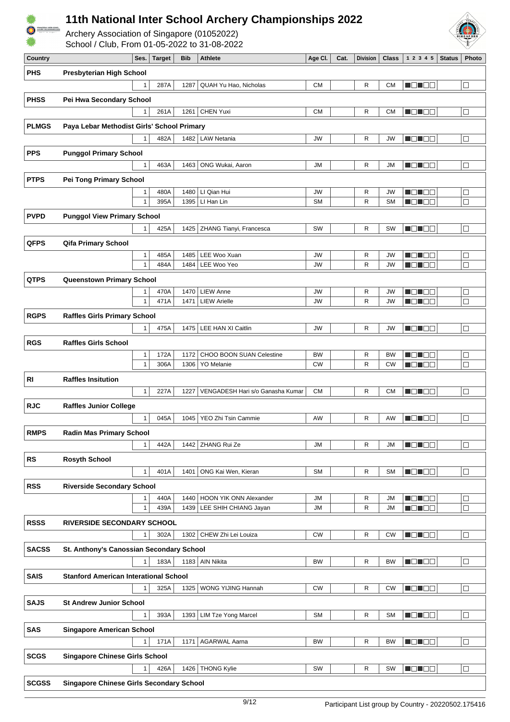





| <b>Country</b> |                                                 | Ses.                         | <b>Target</b> | <b>Bib</b>   | <b>Athlete</b>                                | Age Cl.                | Cat. | <b>Division</b>              | Class                  | 1 2 3 4 5<br><b>Status</b> | Photo            |
|----------------|-------------------------------------------------|------------------------------|---------------|--------------|-----------------------------------------------|------------------------|------|------------------------------|------------------------|----------------------------|------------------|
| <b>PHS</b>     | <b>Presbyterian High School</b>                 |                              |               |              |                                               |                        |      |                              |                        |                            |                  |
|                |                                                 | $\mathbf{1}$                 | 287A          | 1287         | <b>QUAH Yu Hao, Nicholas</b>                  | <b>CM</b>              |      | R                            | <b>CM</b>              | N DHE E                    | $\Box$           |
|                |                                                 |                              |               |              |                                               |                        |      |                              |                        |                            |                  |
| <b>PHSS</b>    | Pei Hwa Secondary School                        |                              |               |              |                                               |                        |      |                              |                        |                            |                  |
|                |                                                 | 1                            | 261A          | 1261         | <b>CHEN Yuxi</b>                              | <b>CM</b>              |      | R                            | <b>CM</b>              | N O H O B                  | $\Box$           |
| <b>PLMGS</b>   | Paya Lebar Methodist Girls' School Primary      |                              |               |              |                                               |                        |      |                              |                        |                            |                  |
|                |                                                 |                              |               |              |                                               |                        |      |                              |                        |                            |                  |
|                |                                                 | $\overline{1}$               | 482A          | 1482         | <b>LAW Netania</b>                            | JW                     |      | R                            | JW                     | N DI BE                    | $\Box$           |
| <b>PPS</b>     | <b>Punggol Primary School</b>                   |                              |               |              |                                               |                        |      |                              |                        |                            |                  |
|                |                                                 | $\mathbf{1}$                 | 463A          | 1463         | ONG Wukai, Aaron                              | JM                     |      | R                            | <b>JM</b>              | MON OO                     | $\Box$           |
| <b>PTPS</b>    | <b>Pei Tong Primary School</b>                  |                              |               |              |                                               |                        |      |                              |                        |                            |                  |
|                |                                                 |                              |               |              |                                               |                        |      |                              |                        |                            |                  |
|                |                                                 | $\mathbf{1}$<br>$\mathbf{1}$ | 480A<br>395A  | 1480<br>1395 | LI Qian Hui<br>LI Han Lin                     | JW<br><b>SM</b>        |      | R<br>R                       | <b>JW</b><br><b>SM</b> | M O N O O                  | $\Box$<br>$\Box$ |
|                |                                                 |                              |               |              |                                               |                        |      |                              |                        | N EN EE                    |                  |
| <b>PVPD</b>    | <b>Punggol View Primary School</b>              |                              |               |              |                                               |                        |      |                              |                        |                            |                  |
|                |                                                 | $\mathbf{1}$                 | 425A          | 1425         | ZHANG Tianyi, Francesca                       | SW                     |      | R                            | SW                     | N EN ER                    | $\Box$           |
| <b>QFPS</b>    | <b>Qifa Primary School</b>                      |                              |               |              |                                               |                        |      |                              |                        |                            |                  |
|                |                                                 | $\mathbf{1}$                 | 485A          | 1485         | LEE Woo Xuan                                  | JW                     |      | $\mathsf{R}$                 | <b>JW</b>              | n di Ele                   | $\Box$           |
|                |                                                 | 1                            | 484A          | 1484         | LEE Woo Yeo                                   | JW                     |      | R                            | <b>JW</b>              | Mahal Bila                 | $\Box$           |
|                |                                                 |                              |               |              |                                               |                        |      |                              |                        |                            |                  |
| <b>QTPS</b>    | Queenstown Primary School                       |                              |               |              |                                               |                        |      |                              |                        |                            |                  |
|                |                                                 | 1                            | 470A          | 1470         | <b>LIEW Anne</b>                              | JW                     |      | R                            | JW                     | M O H O W                  | $\Box$           |
|                |                                                 | $\mathbf{1}$                 | 471A          | 1471         | <b>LIEW Arielle</b>                           | <b>JW</b>              |      | R                            | JW                     | N EN EE                    | $\Box$           |
| <b>RGPS</b>    | <b>Raffles Girls Primary School</b>             |                              |               |              |                                               |                        |      |                              |                        |                            |                  |
|                |                                                 | 1                            | 475A          |              | 1475   LEE HAN XI Caitlin                     | JW                     |      | R                            | <b>JW</b>              | ME NOG                     | $\Box$           |
| <b>RGS</b>     | <b>Raffles Girls School</b>                     |                              |               |              |                                               |                        |      |                              |                        |                            |                  |
|                |                                                 |                              |               |              |                                               |                        |      |                              |                        |                            |                  |
|                |                                                 | $\mathbf{1}$<br>$\mathbf{1}$ | 172A<br>306A  | 1172<br>1306 | CHOO BOON SUAN Celestine<br><b>YO Melanie</b> | <b>BW</b><br><b>CW</b> |      | $\mathsf{R}$<br>$\mathsf{R}$ | <b>BW</b><br><b>CW</b> | n din Ele<br>N DI DE       | $\Box$<br>$\Box$ |
|                |                                                 |                              |               |              |                                               |                        |      |                              |                        |                            |                  |
| RI             | <b>Raffles Insitution</b>                       |                              |               |              |                                               |                        |      |                              |                        |                            |                  |
|                |                                                 | $\mathbf{1}$                 | 227A          | 1227         | VENGADESH Hari s/o Ganasha Kumar              | <b>CM</b>              |      | R                            | <b>CM</b>              | NON OB                     | $\Box$           |
| <b>RJC</b>     | <b>Raffles Junior College</b>                   |                              |               |              |                                               |                        |      |                              |                        |                            |                  |
|                |                                                 | $\mathbf{1}$                 | 045A          | 1045         | YEO Zhi Tsin Cammie                           | AW                     |      | R                            | AW                     | N ON OB                    | $\Box$           |
|                |                                                 |                              |               |              |                                               |                        |      |                              |                        |                            |                  |
| <b>RMPS</b>    | <b>Radin Mas Primary School</b>                 |                              |               |              |                                               |                        |      |                              |                        |                            |                  |
|                |                                                 | $\mathbf{1}$                 | 442A          |              | 1442 ZHANG Rui Ze                             | <b>JM</b>              |      | R                            | JM                     | <b>NONDE</b>               | $\Box$           |
| <b>RS</b>      | <b>Rosyth School</b>                            |                              |               |              |                                               |                        |      |                              |                        |                            |                  |
|                |                                                 | $\mathbf{1}$                 | 401A          | 1401         | ONG Kai Wen, Kieran                           | SM                     |      | R                            | <b>SM</b>              | N BIN BIN                  | $\Box$           |
|                |                                                 |                              |               |              |                                               |                        |      |                              |                        |                            |                  |
| <b>RSS</b>     | <b>Riverside Secondary School</b>               |                              |               |              |                                               |                        |      |                              |                        |                            |                  |
|                |                                                 | 1                            | 440A          | 1440         | HOON YIK ONN Alexander                        | <b>JM</b>              |      | R                            | <b>JM</b>              | MEN 82                     | $\Box$           |
|                |                                                 | $\mathbf{1}$                 | 439A          |              | 1439   LEE SHIH CHIANG Jayan                  | JМ                     |      | R                            | JМ                     | N O N O O                  | $\Box$           |
| <b>RSSS</b>    | <b>RIVERSIDE SECONDARY SCHOOL</b>               |                              |               |              |                                               |                        |      |                              |                        |                            |                  |
|                |                                                 | $\mathbf{1}$                 | 302A          |              | 1302   CHEW Zhi Lei Louiza                    | <b>CW</b>              |      | R                            | <b>CW</b>              | <b>ROBOG</b>               | $\Box$           |
| <b>SACSS</b>   | St. Anthony's Canossian Secondary School        |                              |               |              |                                               |                        |      |                              |                        |                            |                  |
|                |                                                 | $\mathbf{1}$                 | 183A          |              | 1183 AIN Nikita                               | <b>BW</b>              |      | R                            | <b>BW</b>              | <b>NONDE</b>               | $\Box$           |
|                |                                                 |                              |               |              |                                               |                        |      |                              |                        |                            |                  |
| <b>SAIS</b>    | <b>Stanford American Interational School</b>    |                              |               |              |                                               |                        |      |                              |                        |                            |                  |
|                |                                                 | 1                            | 325A          | 1325         | WONG YIJING Hannah                            | <b>CW</b>              |      | R                            | <b>CW</b>              | <b>H</b> OHOO              | $\Box$           |
| <b>SAJS</b>    | <b>St Andrew Junior School</b>                  |                              |               |              |                                               |                        |      |                              |                        |                            |                  |
|                |                                                 | $\mathbf{1}$                 | 393A          | 1393         | <b>LIM Tze Yong Marcel</b>                    | <b>SM</b>              |      | R                            | <b>SM</b>              | MONDER                     | $\Box$           |
|                |                                                 |                              |               |              |                                               |                        |      |                              |                        |                            |                  |
| <b>SAS</b>     | <b>Singapore American School</b>                |                              |               |              |                                               |                        |      |                              |                        |                            |                  |
|                |                                                 | 1                            | 171A          | 1171         | <b>AGARWAL Aarna</b>                          | <b>BW</b>              |      | R                            | <b>BW</b>              | <b>REBEE</b>               | $\Box$           |
| <b>SCGS</b>    | <b>Singapore Chinese Girls School</b>           |                              |               |              |                                               |                        |      |                              |                        |                            |                  |
|                |                                                 | 1                            | 426A          |              | 1426   THONG Kylie                            | SW                     |      | R                            | <b>SW</b>              | <b>NONDE</b>               | $\Box$           |
| <b>SCGSS</b>   | <b>Singapore Chinese Girls Secondary School</b> |                              |               |              |                                               |                        |      |                              |                        |                            |                  |
|                |                                                 |                              |               |              |                                               |                        |      |                              |                        |                            |                  |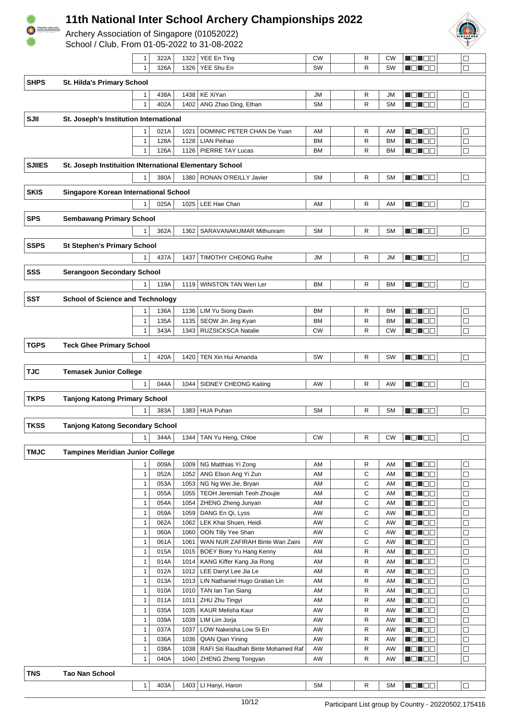

Archery Association of Singapore (01052022)



|                                                  |                                                         | 1                            | 322A         | 1322 | YEE En Ting                                                    | CW                     | R                 | CW                     | M O U O U                    | $\Box$           |
|--------------------------------------------------|---------------------------------------------------------|------------------------------|--------------|------|----------------------------------------------------------------|------------------------|-------------------|------------------------|------------------------------|------------------|
|                                                  |                                                         | $\mathbf{1}$                 | 326A         | 1326 | YEE Shu En                                                     | SW                     | R                 | SW                     | N ON DE                      | $\Box$           |
| <b>SHPS</b><br><b>St. Hilda's Primary School</b> |                                                         |                              |              |      |                                                                |                        |                   |                        |                              |                  |
|                                                  |                                                         | $\mathbf{1}$                 | 438A         | 1438 | <b>KE XiYan</b>                                                | JM                     | R                 | JM                     | N EN EN                      | $\Box$           |
|                                                  |                                                         | $\mathbf{1}$                 | 402A         | 1402 | ANG Zhao Ding, Ethan                                           | <b>SM</b>              | $\mathsf{R}$      | <b>SM</b>              | N EN EN                      | $\Box$           |
|                                                  |                                                         |                              |              |      |                                                                |                        |                   |                        |                              |                  |
| SJII                                             | St. Joseph's Institution International                  |                              |              |      |                                                                |                        |                   |                        |                              |                  |
|                                                  |                                                         | $\mathbf{1}$                 | 021A         | 1021 | DOMINIC PETER CHAN De Yuan                                     | AM                     | R<br>$\mathsf{R}$ | AM                     | n din Elio                   |                  |
|                                                  |                                                         | $\mathbf{1}$<br>$\mathbf{1}$ | 128A<br>126A | 1128 | <b>LIAN Peihao</b><br>1126   PIERRE TAY Lucas                  | <b>BM</b><br><b>BM</b> | R                 | <b>BM</b><br><b>BM</b> | N ON OO<br>N EN EE           | □<br>$\Box$      |
|                                                  |                                                         |                              |              |      |                                                                |                        |                   |                        |                              |                  |
| <b>SJIIES</b>                                    | St. Joseph Instituition INternational Elementary School |                              |              |      |                                                                |                        |                   |                        |                              |                  |
|                                                  |                                                         | 1                            | 380A         | 1380 | RONAN O'REILLY Javier                                          | <b>SM</b>              | $\mathsf{R}$      | <b>SM</b>              | MEN EB                       | $\Box$           |
| <b>SKIS</b>                                      | Singapore Korean International School                   |                              |              |      |                                                                |                        |                   |                        |                              |                  |
|                                                  |                                                         | $\mathbf{1}$                 | 025A         | 1025 | LEE Hae Chan                                                   | AM                     | R                 | AM                     | MON DE                       | $\Box$           |
| <b>SPS</b>                                       | <b>Sembawang Primary School</b>                         |                              |              |      |                                                                |                        |                   |                        |                              |                  |
|                                                  |                                                         | 1                            | 362A         | 1362 | SARAVANAKUMAR Mithunram                                        | <b>SM</b>              | R                 | <b>SM</b>              | MENDER                       | $\Box$           |
|                                                  |                                                         |                              |              |      |                                                                |                        |                   |                        |                              |                  |
| <b>SSPS</b>                                      | <b>St Stephen's Primary School</b>                      |                              |              |      |                                                                |                        |                   |                        |                              |                  |
|                                                  |                                                         | 1                            | 437A         | 1437 | <b>TIMOTHY CHEONG Ruihe</b>                                    | JM                     | R                 | JM                     | NOTOO                        | $\Box$           |
| SSS                                              | <b>Serangoon Secondary School</b>                       |                              |              |      |                                                                |                        |                   |                        |                              |                  |
|                                                  |                                                         | $\mathbf{1}$                 | 119A         |      | 1119   WINSTON TAN Wen Ler                                     | <b>BM</b>              | R                 | <b>BM</b>              | MONDE.                       | $\Box$           |
| <b>SST</b>                                       | <b>School of Science and Technology</b>                 |                              |              |      |                                                                |                        |                   |                        |                              |                  |
|                                                  |                                                         | $\mathbf{1}$                 | 136A         | 1136 | LIM Yu Siong Davin                                             | <b>BM</b>              | R                 | <b>BM</b>              | N EN BE                      | □                |
|                                                  |                                                         | $\mathbf{1}$                 | 135A         | 1135 | SEOW Jin Jing Kyan                                             | <b>BM</b>              | $\mathsf{R}$      | <b>BM</b>              | n din Ele                    | $\Box$           |
|                                                  |                                                         | $\mathbf{1}$                 | 343A         | 1343 | RUZSICKSCA Natalie                                             | <b>CW</b>              | $\mathsf{R}$      | <b>CW</b>              | MENDER                       | $\Box$           |
|                                                  |                                                         |                              |              |      |                                                                |                        |                   |                        |                              |                  |
| <b>TGPS</b>                                      | <b>Teck Ghee Primary School</b>                         |                              |              |      |                                                                |                        |                   |                        |                              |                  |
|                                                  |                                                         | $\mathbf{1}$                 | 420A         | 1420 | TEN Xin Hui Amanda                                             | SW                     | R                 | SW                     | N EN EIG                     | $\Box$           |
| <b>TJC</b>                                       | <b>Temasek Junior College</b>                           |                              |              |      |                                                                |                        |                   |                        |                              |                  |
|                                                  |                                                         | $\mathbf{1}$                 | 044A         | 1044 | SIDNEY CHEONG Kaiting                                          | AW                     | R                 | AW                     | ME DE L                      | $\Box$           |
| <b>TKPS</b>                                      | <b>Tanjong Katong Primary School</b>                    |                              |              |      |                                                                |                        |                   |                        |                              |                  |
|                                                  |                                                         | 1                            | 383A         |      | 1383 HUA Puhan                                                 | <b>SM</b>              | R                 | <b>SM</b>              | MEN E E                      | $\Box$           |
| <b>TKSS</b>                                      |                                                         |                              |              |      |                                                                |                        |                   |                        |                              |                  |
|                                                  | <b>Tanjong Katong Secondary School</b>                  |                              |              |      |                                                                |                        |                   |                        |                              |                  |
|                                                  |                                                         | $\mathbf{1}$                 | 344A         |      | 1344 TAN Yu Heng, Chloe                                        | CW                     | R                 | CW                     | <b>HOLLOD</b>                | $\Box$           |
| <b>TMJC</b>                                      | <b>Tampines Meridian Junior College</b>                 |                              |              |      |                                                                |                        |                   |                        |                              |                  |
|                                                  |                                                         | $\mathbf{1}$                 | 009A         | 1009 | NG Matthias Yi Zong                                            | AM                     | R                 | AM                     | <b>MONOG</b>                 | □                |
|                                                  |                                                         | $\mathbf{1}$                 | 052A         | 1052 | ANG Elson Ang Yi Zun                                           | AM                     | C                 | AM                     | <b>NOTO</b>                  | □                |
|                                                  |                                                         | $\mathbf{1}$                 | 053A         |      | 1053   NG Ng Wei Jie, Bryan                                    | AM                     | C                 | AM                     | N EN EIS                     | $\Box$           |
|                                                  |                                                         | $\mathbf{1}$<br>$\mathbf{1}$ | 055A<br>054A | 1055 | <b>TEOH Jeremiah Teoh Zhoujie</b><br>1054   ZHENG Zheng Junyan | AM<br>AM               | C<br>C            | AM<br>AM               | <b>HONOO</b><br><b>MONDO</b> | $\Box$<br>□      |
|                                                  |                                                         | $\mathbf{1}$                 | 059A         | 1059 | DANG En Qi, Lyss                                               | AW                     | C                 | AW                     | <b>REDEE</b>                 | $\Box$           |
|                                                  |                                                         | $\mathbf{1}$                 | 062A         | 1062 | LEK Khai Shuen, Heidi                                          | AW                     | C                 | AW                     | M S S S G                    | $\Box$           |
|                                                  |                                                         | $\mathbf{1}$                 | 060A         | 1060 | OON Tilly Yee Shan                                             | AW                     | С                 | AW                     | MEN ER                       | $\Box$           |
|                                                  |                                                         | $\mathbf{1}$                 | 061A         | 1061 | WAN NUR ZAFIRAH Binte Wan Zaini                                | AW                     | C                 | AW                     | <b>ROBOD</b>                 | $\Box$           |
|                                                  |                                                         | $\mathbf{1}$                 | 015A         | 1015 | BOEY Boey Yu Hang Kenny                                        | AM                     | R                 | AM                     | U O U O O                    | □                |
|                                                  |                                                         | $\mathbf{1}$                 | 014A         | 1014 | KANG Kiffer Kang Jia Rong                                      | AM                     | R                 | AM                     | N ON OO                      | $\Box$           |
|                                                  |                                                         | $\mathbf{1}$<br>$\mathbf{1}$ | 012A<br>013A | 1012 | LEE Darryl Lee Jia Le<br>1013   LIN Nathaniel Hugo Gratian Lin | AM<br>AM               | R<br>R            | AM<br>AM               | <u>Lici i cia</u><br>MOMOO   | □<br>□           |
|                                                  |                                                         | $\mathbf{1}$                 | 010A         | 1010 | TAN Ian Tan Siang                                              | AM                     | R                 | AM                     | N ON OO                      | □                |
|                                                  |                                                         | $\mathbf{1}$                 | 011A         | 1011 | ZHU Zhu Tingyi                                                 | AM                     | R                 | AM                     | N DI BE                      | $\Box$           |
|                                                  |                                                         | $\mathbf{1}$                 | 035A         | 1035 | KAUR Melisha Kaur                                              | AW                     | R                 | AW                     | MONDE                        | $\Box$           |
|                                                  |                                                         | $\mathbf{1}$                 | 039A         | 1039 | LIM Lim Jorja                                                  | AW                     | R                 | AW                     | MOMOO                        | □                |
|                                                  |                                                         | $\mathbf{1}$                 | 037A         | 1037 | LOW Nakeisha Low Si En                                         | AW                     | R                 | AW                     | MON DE                       | □                |
|                                                  |                                                         | $\mathbf{1}$                 | 036A         | 1036 | QIAN Qian Yining                                               | AW                     | R                 | AW                     | N ON OO                      | $\Box$           |
|                                                  |                                                         | $\mathbf{1}$<br>$\mathbf{1}$ | 038A<br>040A | 1038 | RAFI Siti Raudhah Binte Mohamed Raf                            | AW<br>AW               | R<br>R            | AW                     | N DI BE                      | $\Box$<br>$\Box$ |
|                                                  |                                                         |                              |              | 1040 | ZHENG Zheng Tongyan                                            |                        |                   | AW                     | M O N O O                    |                  |
| <b>TNS</b>                                       | <b>Tao Nan School</b>                                   |                              |              |      |                                                                |                        |                   |                        |                              |                  |
|                                                  |                                                         | $\mathbf{1}$                 | 403A         |      | 1403   LI Hanyi, Haron                                         | <b>SM</b>              | R                 | <b>SM</b>              | <b>NDL DE</b>                | $\Box$           |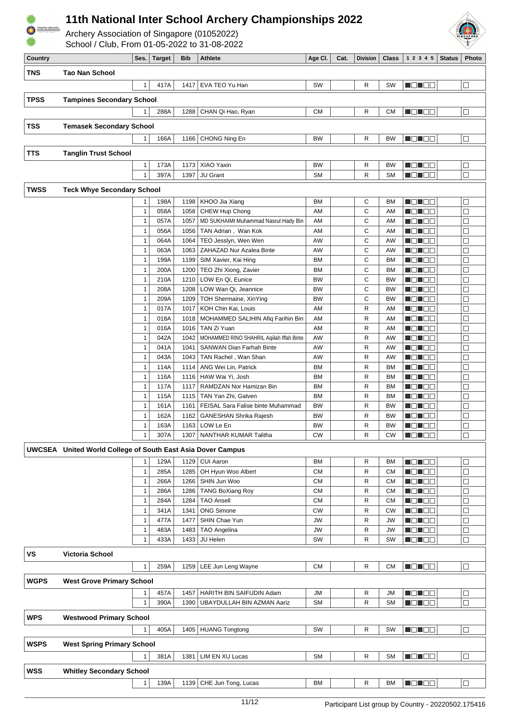

Archery Association of Singapore (01052022)



| Country     |                                                                    | Ses.              | <b>Target</b> | <b>Bib</b>   | <b>Athlete</b>                             | Age Cl.         | Cat. | <b>Division</b> | <b>Class</b> | 1 2 3 4 5           | <b>Status</b> | Photo            |
|-------------|--------------------------------------------------------------------|-------------------|---------------|--------------|--------------------------------------------|-----------------|------|-----------------|--------------|---------------------|---------------|------------------|
| <b>TNS</b>  | <b>Tao Nan School</b>                                              |                   |               |              |                                            |                 |      |                 |              |                     |               |                  |
|             |                                                                    |                   | 417A          | 1417         | EVA TEO Yu Han                             | SW              |      | R               | SW           | MONDER              |               | $\Box$           |
|             |                                                                    | $\mathbf{1}$      |               |              |                                            |                 |      |                 |              |                     |               |                  |
| <b>TPSS</b> | <b>Tampines Secondary School</b>                                   |                   |               |              |                                            |                 |      |                 |              |                     |               |                  |
|             |                                                                    | 1                 | 288A          | 1288         | CHAN Qi Hao, Ryan                          | СM              |      | R               | СM           | <b>NOTOU</b>        |               | $\Box$           |
|             |                                                                    |                   |               |              |                                            |                 |      |                 |              |                     |               |                  |
| <b>TSS</b>  | <b>Temasek Secondary School</b>                                    |                   |               |              |                                            |                 |      |                 |              |                     |               |                  |
|             |                                                                    | $\mathbf{1}$      | 166A          |              | 1166   CHONG Ning En                       | BW              |      | R               | <b>BW</b>    | <b>NDHEE</b>        |               | $\Box$           |
| <b>TTS</b>  | <b>Tanglin Trust School</b>                                        |                   |               |              |                                            |                 |      |                 |              |                     |               |                  |
|             |                                                                    | $\mathbf{1}$      | 173A          | 1173         | XIAO Yaxin                                 | <b>BW</b>       |      | R               | <b>BW</b>    | MEN EA              |               | $\Box$           |
|             |                                                                    | $\mathbf{1}$      | 397A          | 1397         | JU Grant                                   | <b>SM</b>       |      | R               | <b>SM</b>    | MON OO              |               | $\Box$           |
|             |                                                                    |                   |               |              |                                            |                 |      |                 |              |                     |               |                  |
| <b>TWSS</b> | <b>Teck Whye Secondary School</b>                                  |                   |               |              |                                            |                 |      |                 |              |                     |               |                  |
|             |                                                                    | $\mathbf{1}$      | 198A          | 1198         | KHOO Jia Xiang                             | BM              |      | С               | <b>BM</b>    | N DHE E             |               | $\Box$           |
|             |                                                                    | $\mathbf{1}$      | 058A          | 1058         | CHEW Hup Chong                             | AM              |      | C               | AM           | N EN EIG            |               | $\Box$           |
|             |                                                                    | $\mathbf{1}$      | 057A          | 1057         | MD SUKHAIMI Muhammad Nasrul Hady Bin       | AM              |      | C               | AM           | MONDER              |               | $\Box$           |
|             |                                                                    | $\mathbf{1}$      | 056A          | 1056         | TAN Adrian, Wan Kok                        | AM              |      | C               | AM           | MOL DE              |               | $\Box$           |
|             |                                                                    | $\mathbf{1}$      | 064A          | 1064         | TEO Jesslyn, Wen Wen                       | AW              |      | С               | AW           | MOND D              |               | $\Box$           |
|             |                                                                    | $\mathbf{1}$      | 063A          | 1063         | ZAHAZAD Nur Azalea Binte                   | AW              |      | C               | AW           | <u>n din bibli</u>  |               | $\Box$           |
|             |                                                                    | $\mathbf{1}$      | 199A          | 1199         | SIM Xavier, Kai Hing                       | BM<br><b>BM</b> |      | С<br>C          | ВM           | N ON OO             |               | $\Box$<br>$\Box$ |
|             |                                                                    | $\mathbf{1}$<br>1 | 200A<br>210A  | 1200<br>1210 | TEO Zhi Xiong, Zavier<br>LOW En Qi, Eunice | BW              |      | C               | BM<br>BW     | MEN E E<br>N ON BE  |               | $\Box$           |
|             |                                                                    | $\mathbf{1}$      | 208A          | 1208         | LOW Wan Qi, Jeannice                       | <b>BW</b>       |      | C               | <b>BW</b>    | N EN EIS            |               | $\Box$           |
|             |                                                                    | $\mathbf{1}$      | 209A          | 1209         | TOH Shermaine, XinYing                     | <b>BW</b>       |      | C               | BW           | Mana kata           |               | $\Box$           |
|             |                                                                    | $\mathbf{1}$      | 017A          | 1017         | KOH Chin Kai, Louis                        | AM              |      | R               | AM           | MONDE               |               | $\Box$           |
|             |                                                                    | $\mathbf{1}$      | 018A          | 1018         | MOHAMMED SALIHIN Afiq Farihin Bin          | AM              |      | R               | AM           | MON 80              |               | $\Box$           |
|             |                                                                    | $\mathbf{1}$      | 016A          | 1016         | TAN Zi Yuan                                | AM              |      | R               | AM           | N DI BE             |               | $\Box$           |
|             |                                                                    | $\mathbf{1}$      | 042A          | 1042         | MOHAMMED RINO SHAHRIL Aqiilah Iffah Binte  | AW              |      | R               | AW           | <u>n din biblio</u> |               | $\Box$           |
|             |                                                                    | 1                 | 041A          | 1041         | SANWAN Dian Farhah Binte                   | AW              |      | R               | AW           | MO SE               |               | $\Box$           |
|             |                                                                    | $\mathbf{1}$      | 043A          |              | 1043   TAN Rachel, Wan Shan                | AW              |      | R               | AW           | MON O W             |               | $\Box$           |
|             |                                                                    | $\mathbf{1}$      | 114A          | 1114         | ANG Wei Lin, Patrick                       | <b>BM</b>       |      | R               | ВM           | <u>in din se</u>    |               | $\Box$           |
|             |                                                                    | $\mathbf{1}$      | 116A          | 1116         | HAW Wai Yi, Josh                           | <b>BM</b>       |      | R               | <b>BM</b>    | M D H B B           |               | $\Box$           |
|             |                                                                    | $\mathbf{1}$      | 117A          | 1117         | RAMDZAN Nor Hamizan Bin                    | <b>BM</b>       |      | R               | <b>BM</b>    | MO SE               |               | $\Box$           |
|             |                                                                    | $\mathbf{1}$      | 115A          | 1115         | TAN Yan Zhi, Galven                        | <b>BM</b>       |      | R               | <b>BM</b>    | MO MOL              |               | $\Box$           |
|             |                                                                    | $\mathbf{1}$      | 161A          | 1161         | FEISAL Sara Falise binte Muhammad          | <b>BW</b>       |      | R               | BW           | N ON OO             |               | $\Box$           |
|             |                                                                    | 1                 | 162A          | 1162         | GANESHAN Shrika Rajesh                     | BW              |      | R               | BW           | <u>i di Ba</u>      |               | $\Box$           |
|             |                                                                    | $\mathbf{1}$      | 163A          | 1163         | LOW Le En                                  | ВW              |      | R               | BW           | <u> Helia e E</u>   |               | □                |
|             |                                                                    | $\mathbf{1}$      | 307A          | 1307         | NANTHAR KUMAR Talitha                      | CW              |      | R               | <b>CW</b>    | N E N E E           |               | $\Box$           |
|             | <b>UWCSEA</b> United World College of South East Asia Dover Campus |                   |               |              |                                            |                 |      |                 |              |                     |               |                  |
|             |                                                                    | $\mathbf{1}$      | 129A          | 1129         | <b>CUI Aaron</b>                           | <b>BM</b>       |      | R               | <b>BM</b>    | N ON DO             |               | $\Box$           |
|             |                                                                    | $\mathbf{1}$      | 285A          | 1285         | OH Hyun Woo Albert                         | <b>CM</b>       |      | R               | CМ           | N ON OO             |               | $\Box$           |
|             |                                                                    | $\mathbf{1}$      | 266A          | 1266         | SHIN Jun Woo                               | СM              |      | R               | CМ           | M O U O O           |               | $\Box$           |
|             |                                                                    | $\mathbf{1}$      | 286A          | 1286         | TANG BoXiang Roy                           | СM              |      | R               | CМ           | N O N O O           |               | $\Box$           |
|             |                                                                    | $\mathbf{1}$      | 284A          | 1284         | <b>TAO Ansell</b>                          | СM              |      | R               | СM           | N DI BE             |               | $\Box$           |
|             |                                                                    | $\mathbf{1}$      | 341A          | 1341         | <b>ONG Simone</b>                          | <b>CW</b>       |      | R               | СW           | ME HEL              |               | $\Box$           |
|             |                                                                    | $\mathbf{1}$      | 477A          | 1477         | SHIN Chae Yun                              | <b>JW</b>       |      | R               | JW           | MEN DE              |               | □                |
|             |                                                                    | $\mathbf{1}$      | 483A          | 1483         | <b>TAO Angelina</b>                        | <b>JW</b>       |      | R               | JW           | N ON OO             |               | $\Box$           |
|             |                                                                    | $\mathbf{1}$      | 433A          | 1433         | JU Helen                                   | SW              |      | R               | SW           | N O N O O           |               | $\Box$           |
| <b>VS</b>   | <b>Victoria School</b>                                             |                   |               |              |                                            |                 |      |                 |              |                     |               |                  |
|             |                                                                    | $\mathbf{1}$      | 259A          | 1259         | LEE Jun Leng Wayne                         | СM              |      | $\mathsf{R}$    | <b>CM</b>    | <b>NO HOO</b>       |               | $\Box$           |
|             |                                                                    |                   |               |              |                                            |                 |      |                 |              |                     |               |                  |
| <b>WGPS</b> | <b>West Grove Primary School</b>                                   |                   |               |              |                                            |                 |      |                 |              |                     |               |                  |
|             |                                                                    | 1                 | 457A          | 1457         | HARITH BIN SAIFUDIN Adam                   | JM              |      | R               | JМ           | N DIN OO            |               | $\Box$           |
|             |                                                                    | $\mathbf{1}$      | 390A          | 1390         | UBAYDULLAH BIN AZMAN Aariz                 | <b>SM</b>       |      | R               | <b>SM</b>    | MO SO               |               | $\Box$           |
| <b>WPS</b>  | <b>Westwood Primary School</b>                                     |                   |               |              |                                            |                 |      |                 |              |                     |               |                  |
|             |                                                                    | $\mathbf{1}$      | 405A          | 1405         | HUANG Tongtong                             | SW              |      | R               | SW           | n On DO             |               | $\Box$           |
|             |                                                                    |                   |               |              |                                            |                 |      |                 |              |                     |               |                  |
| <b>WSPS</b> | <b>West Spring Primary School</b>                                  |                   |               |              |                                            |                 |      |                 |              |                     |               |                  |
|             |                                                                    | $\mathbf{1}$      | 381A          | 1381         | LIM EN XU Lucas                            | SΜ              |      | R               | <b>SM</b>    | <b>NONDE</b>        |               | $\Box$           |
| <b>WSS</b>  | <b>Whitley Secondary School</b>                                    |                   |               |              |                                            |                 |      |                 |              |                     |               |                  |
|             |                                                                    |                   |               |              |                                            |                 |      |                 |              |                     |               |                  |
|             |                                                                    | $\mathbf{1}$      | 139A          |              | 1139 CHE Jun Tong, Lucas                   | ВM              |      | R               | <b>BM</b>    | MEN SE              |               | $\Box$           |